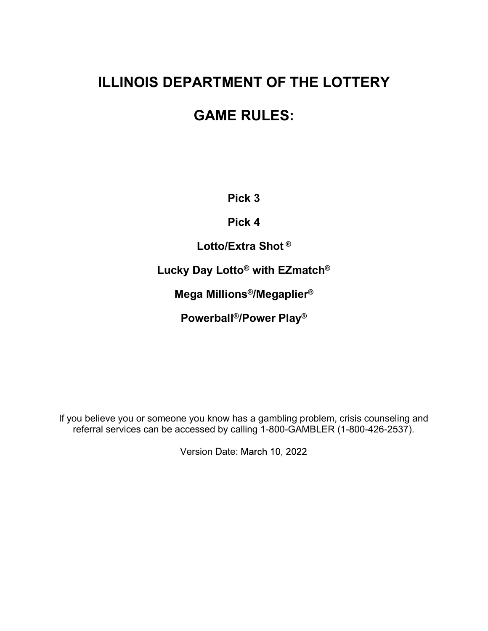# **ILLINOIS DEPARTMENT OF THE LOTTERY<br>GAME RULES: ARTMENT OF THE LOTTERY<br>
GAME RULES:<br>
Pick 3<br>
Pick 4<br>
Lotto/Extra Shot ®<br>
Day Lotto® with EZmatch®<br>
a Millions®/Megaplier®** DEPARTMENT OF THE LOTTERY<br>
GAME RULES:<br>
Pick 3<br>
Pick 4<br>
Lotto/Extra Shot®<br>
Lucky Day Lotto® with EZmatch®<br>
Mega Millions®/Megaplier®<br>
Powerball®/Power Play®

# GAME RULES:

Pick 3

Pick 4

Mega Millions®/Megaplier®

Powerball®/Power Play®

Pick 4<br>
Lucky Day Lotto<sup>®</sup> with EZmatch<sup>®</sup><br>
Mega Millions<sup>®</sup>/Megaplier<sup>®</sup><br>
Powerball<sup>®</sup>/Power Play<sup>®</sup><br>
If you believe you or someone you know has a gambling problem, crisis counseling and<br>
referral services can be accessed referral services can be accessed by calling 1-800-GAMBLER (1-800-426-2537).

Version Date: March 10, 2022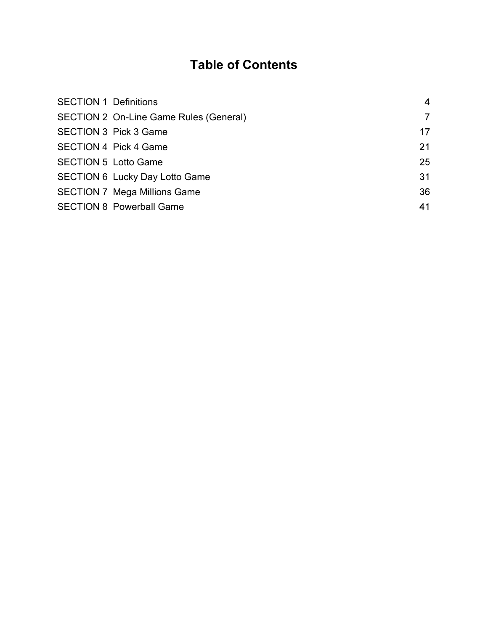# Table of Contents

| <b>SECTION 1 Definitions</b> |                                        | 4              |
|------------------------------|----------------------------------------|----------------|
|                              | SECTION 2 On-Line Game Rules (General) | $\overline{7}$ |
|                              | <b>SECTION 3 Pick 3 Game</b>           | 17             |
|                              | <b>SECTION 4 Pick 4 Game</b>           | 21             |
|                              | <b>SECTION 5 Lotto Game</b>            | 25             |
|                              | <b>SECTION 6 Lucky Day Lotto Game</b>  | 31             |
|                              | <b>SECTION 7 Mega Millions Game</b>    | 36             |
|                              | <b>SECTION 8 Powerball Game</b>        | 41             |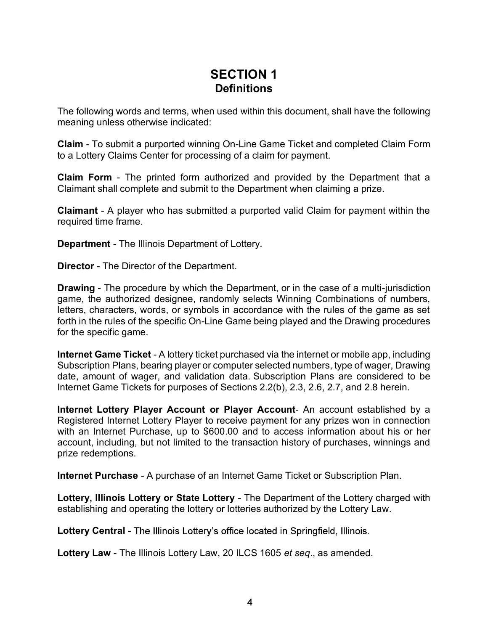# SECTION 1 **Definitions**

The following words and terms, when used within this document, shall have the following meaning unless otherwise indicated:

**SECTION 1**<br>**Claim - To submit a purported winning underset winning underset winning underso stherwise indicated:**<br>Claim - To submit a purported winning On-Line Game Ticket and completed Claim Form<br>to a Lottery Claims Cent to a Lottery Claims Center for processing of a claim for payment. **SECTION 1**<br> **Claim - The following words and terms, when used within this document, shall have the following<br>
meaning unless otherwise indicated:<br>
Claim - To submit a purported winning On-Line Game Ticket and completed Cl** SECTION 1<br>
Definitions<br>
The following words and terms, when used within this document, shall have the following<br>
Claim - To submitted purported winning On-Line Game Ticket and completed Claim Form<br>
to a Lottery Claim for p **SECTION 1**<br>
Definitions<br>
The following words and terms, when used within this document, shall have t<br>
meaning unless otherwise indicated:<br>
Claim - To submit a purported winning On-Line Game Ticket and completed<br>
to a Lott

Claimant shall complete and submit to the Department when claiming a prize.

required time frame.

SECTION 1<br>
Definitions<br>
The following words and terms, when used within this document, shall ha<br>
meaning unless otherwise indicated:<br>
Claim - To submit a purported winning On-Line Game Ticket and comple<br>
to a Lottery Claim **Definitions**<br> **Definitions**<br>
The following words and terms, when used within this document, shall have the following<br>
meaning unless otherwise indicated:<br> **Claim** - To submit a purported winning On-Line Game Ticket and co game, the authorized designee, randomly selects Winning Combinations of numbers, letters, characters, words, or symbols in accordance with the rules of the game as set forth in the rules of the specific On-Line Game being played and the Drawing procedures for the specific game. **Calim Form and Proposes with the purchased via the internet Came Ticket and Calimat Schery Claims Certer for processing of a claim for payment.**<br> **Claim Form - The printed form authorized and provided by the Department th** Claim Form - The printed form authorized and provided by the Department that a<br>Claimant shall complete and submitted a purported valid Claim for payment within the<br>Claimant - A player who has submitted a purported valid Cl **Claimant -** A player who has submitted a purported valid Claim for payment within the required time frame.<br> **Department - The Illinois Department of Lottery.**<br> **Director - The Director of the Department.**<br> **Drawing - The** Drector - The Dretect orthe Deperation.<br>
Drawing - The procedure by which the Department, or in the case of a multi-jurisdiction<br>
Diane, the authorized designee, randomly selects Winning Combinations of numbers,<br>
letters,

Subscription Plans, bearing player or computer selected numbers, type of wager, Drawing Internet Game Tickets for purposes of Sections 2.2(b), 2.3, 2.6, 2.7, and 2.8 herein.

Registered Internet Lottery Player to receive payment for any prizes won in connection with an Internet Purchase, up to \$600.00 and to access information about his or her account, including, but not limited to the transaction history of purchases, winnings and prize redemptions. Draming The procedure by wind interval constrained, or in the case of a mini-prison or the transformed to the space of the space or the distinctions of humbers, characters, words, or symbols in accordance with the rules of Internet Game Ticket - A lottery ticket purchased via the internet or mobile at Subscription Plans, bearing player or computer selected numbers, type of wagdate, amount of wager, and validation data. Subscription Plans are

establishing and operating the lottery or lotteries authorized by the Lottery Law.

Lottery Central - The Illinois Lottery's office located in Springfield, Illinois.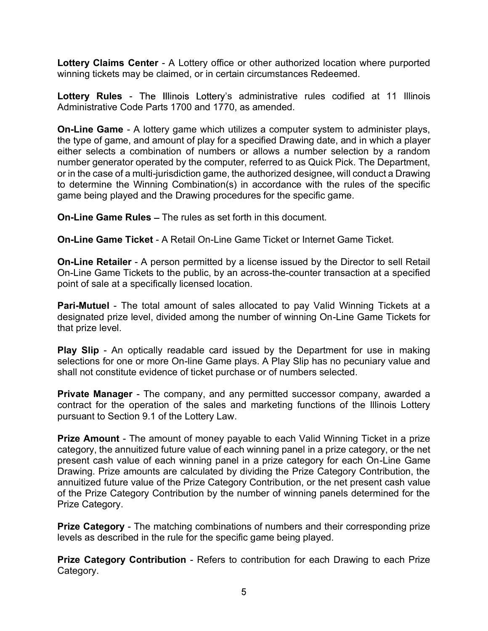winning tickets may be claimed, or in certain circumstances Redeemed.

**Lottery Claims Center** - A Lottery office or other authorized location where purported<br>winning tickets may be claimed, or in certain circumstances Redeemed.<br>**Lottery Rules** - The Illinois Lottery's administrative rules co Lottery Rules - The Illinois Lottery's administrative rules codified at 11 Illinois Administrative Code Parts 1700 and 1770, as amended.

**Lottery Claims Center** - A Lottery office or other authorized location where purported<br>winning tickets may be claimed, or in certain circumstances Redeemed.<br> **Lottery Rules** - The Illinois Lottery's administrative rules c the type of game, and amount of play for a specified Drawing date, and in which a player either selects a combination of numbers or allows a number selection by a random number generator operated by the computer, referred to as Quick Pick. The Department, or in the case of a multi-jurisdiction game, the authorized designee, will conduct a Drawing to determine the Winning Combination(s) in accordance with the rules of the specific game being played and the Drawing procedures for the specific game. **Lottery Claims Center - A** Lottery office or other authorized location where purported winning tickets may be claimed, or in certain circumstances Redeemed.<br> **Lottery Rules** - The Illinois Lottery's administrative rules c Lottery Claims Center - A Lottery office or other authorized location where purported<br>winning tickets may be claimed, or in certain circumstances Redeemed.<br>
Lottery Rules - The Illinois Lottery's administrative rules codif Sourcy Fraces and amount of play amometerize control control control and amount of play for a specified Drawing date, and in which a player the type of game, and amount of play for a specified Drawing date, and in which a where readed to the members of the members of the selection by a radiom<br>either selects a combination of numbers or allows a number selection by a radiom<br>number generator operated by the computer, referred to as Quick Pick.

On-Line Game Rules – The rules as set forth in this document.

On-Line Game Tickets to the public, by an across-the-counter transaction at a specified point of sale at a specifically licensed location.

designated prize level, divided among the number of winning On-Line Game Tickets for that prize level. o cocoming of the Company, and any permitted successor with the limit of the specific game.<br> **On-Line Game Rules –** The rules as set forth in this document.<br> **On-Line Game Rules –** The rules as set forth in this document.<br>

selections for one or more On-line Game plays. A Play Slip has no pecuniary value and shall not constitute evidence of ticket purchase or of numbers selected.

contract for the operation of the sales and marketing functions of the Illinois Lottery pursuant to Section 9.1 of the Lottery Law.

**On-Line Game Ticket - A Retail On-Line Game Ticket or Internet Game Ticket.**<br> **On-Line Retailer - A person permitted by a license issued by the Director to sell Retail<br>
On-Line Game Tickets to the public, by an across-the Christian** Christian Christian Christian Christian Christian Christian Christian Christian Christian Christian Christian Christian Christian Christian Christian Christian Christian Christian Christian Christian Christian present cash value of each winning panel in a prize category for each On-Line Game Drawing. Prize amounts are calculated by dividing the Prize Category Contribution, the annuitized future value of the Prize Category Contribution, or the net present cash value of the Prize Category Contribution by the number of winning panels determined for the Prize Category. deption of the matching and the prize Category - The matching on the matching of the Department for use in making selections for one or more On-line Game plays. A Play Slip has no pecuniary value and shall not constitute e The selections for one of the Stategory Contribution and used to your Department for the Stategory and any permitted successor company, awarded a shall not constitute evidence of ticket purchase or of numbers selected.<br> **P** 

levels as described in the rule for the specific game being played.

Category.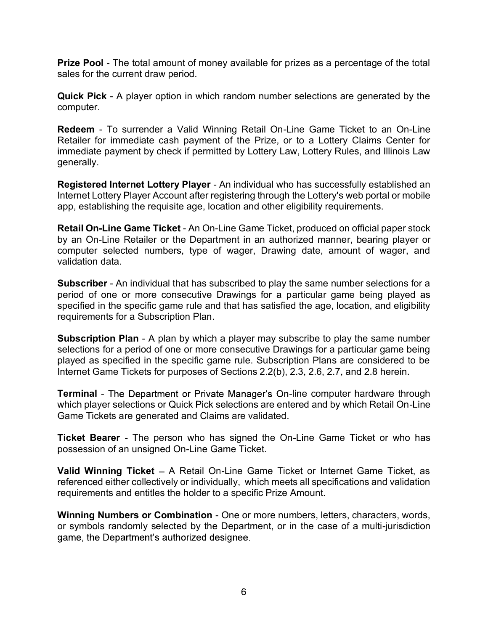sales for the current draw period.

Prize Pool - The total amount of money available for prizes as a percentage of the total<br>sales for the current draw period.<br>Quick Pick - A player option in which random number selections are generated by the<br>computer. computer.

**Prize Pool** - The total amount of money available for prizes as a percentage of the total<br>sales for the current draw period.<br>**Quick Pick -** A player option in which random number selections are generated by the<br>computer.<br> **Prize Pool -** The total amount of money available for prizes as a percentage of the total<br>sales for the current draw period.<br>**Quick Pick -** A player option in which random number selections are generated by the<br>computer.<br> Retailer for immediate cash payment of the Prize, or to a Lottery Claims Center for immediate payment by check if permitted by Lottery Law, Lottery Rules, and Illinois Law generally. **Prize Pool -** The total amount of money available for prizes as a percentage of the total<br>sales for the current draw period.<br>**Quick Pick** - A player option in which random number selections are generated by the<br>computer.<br>

Internet Lottery Player Account after registering through the Lottery's web portal or mobile app, establishing the requisite age, location and other eligibility requirements.

**Prize Pool - The total amount of money available for prizes as a percentage of the total sales for the current draw period.**<br> **Quick Pick** - A player option in which random number selections are generated by the computer. by an On-Line Retailer or the Department in an authorized manner, bearing player or computer selected numbers, type of wager, Drawing date, amount of wager, and validation data. Subscriber - An individual that has subscribed to play the same number selections are generated by the Redelem - To surrender a Valid Winning Retail On-Line Game Ticket to an On-Line Retailer for immediate cash payment of **Recelain - Control of the Prizer Control of the Prizer Control Control Control Control Challer for immediate payment of the Prize, or to a Lottery Rules, and Illinois Law<br>
<b>Recelairer for immediate payment Lottery Player** 

period of one or more consecutive Drawings for a particular game being played as specified in the specific game rule and that has satisfied the age, location, and eligibility requirements for a Subscription Plan.

selections for a period of one or more consecutive Drawings for a particular game being played as specified in the specific game rule. Subscription Plans are considered to be Internet Game Tickets for purposes of Sections 2.2(b), 2.3, 2.6, 2.7, and 2.8 herein. **Example 12** The Department Fact An On-Line Came Tracket convincts and properties who and the metallation data.<br> **Alta and Subscriber - An individual that has subscribed to play the same number selections for a Subscriber** special and the specific principle and the case of a multi-pursticle to a subscription Plan.<br> **Subscription Plan** - A plan by which a player may subscribe to play the same number<br>
selections for a period of one or more con

**Terminal** - The Department or Private Manager's On-line computer hardware through which player selections or Quick Pick selections are entered and by which Retail On-Line Game Tickets are generated and Claims are validated.

possession of an unsigned On-Line Game Ticket.

Valid Winning Ticket – A Retail On-Line Game Ticket or Internet Game Ticket, as referenced either collectively or individually, which meets all specifications and validation requirements and entitles the holder to a specific Prize Amount.

or symbols randomly selected by the Department, or in the case of a multi-jurisdiction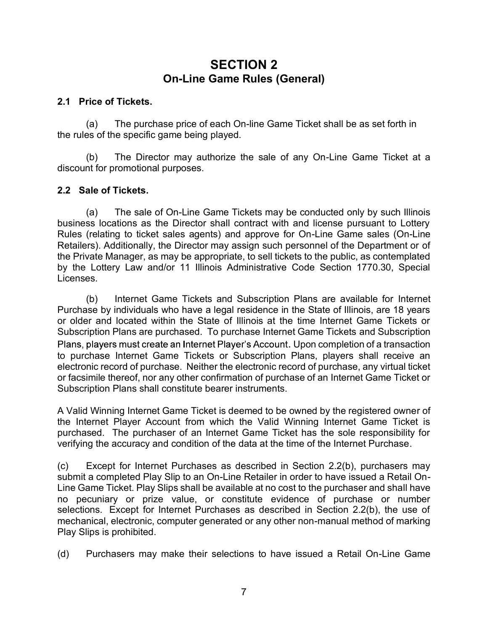# SECTION 2 On-Line Game Rules (General)

#### 2.1 Price of Tickets.

the rules of the specific game being played.

**SECTION 2**<br> **On-Line Game Rules (General)**<br>
The purchase price of each On-line Game Ticket shall be as set forth in<br>
the so of the specific game being played.<br>
(b) The Director may authorize the sale of any On-Line Game T SECTION 2<br>
On-Line Game Rules (General)<br>
The purchase price of each On-line Game Ticket shall be as set forth in<br>
the specific game being played.<br>
(b) The Director may authorize the sale of any On-Line Game Ticket at a<br>
th discount for promotional purposes.

#### 2.2 Sale of Tickets.

**SECTION 2**<br> **CON-Line Game Rules (General)**<br>
The purchase price of each On-line Game Ticket shall be as set forth in<br>
as of the specific game being played.<br>
(b) The Director may authorize the sale of any On-Line Game Tick business locations as the Director shall contract with and license pursuant to Lottery Rules (relating to ticket sales agents) and approve for On-Line Game sales (On-Line **SECTION 2**<br> **Con-Line Game Rules (General)**<br> **Con-Line Game Builders).**<br>
(a) The purchase price of each On-line Game Ticket shall be as set forth in<br>
the rules of the specific game being played.<br>
(b) The Director may auth the Private Manager, as may be appropriate, to sell tickets to the public, as contemplated by the Lottery Law and/or 11 Illinois Administrative Code Section 1770.30, Special Licenses. rice of Tickets.<br>
(a) The purchase price of each On-line Game Ticket shall be as set forth in<br>
so of the specific game being played.<br>
(b) The Director may authorize the sale of any On-Line Game Ticket at a<br>
infor promotion

Purchase by individuals who have a legal residence in the State of Illinois, are 18 years or older and located within the State of Illinois at the time Internet Game Tickets or Subscription Plans are purchased. To purchase Internet Game Tickets and Subscription Plans, players must create an Internet Player's Account. Upon completion of a transaction to purchase Internet Game Tickets or Subscription Plans, players shall receive an electronic record of purchase. Neither the electronic record of purchase, any virtual ticket or facsimile thereof, nor any other confirmation of purchase of an Internet Game Ticket or Subscription Plans shall constitute bearer instruments. Invertive transfact, as may be applyine, to sure accombinate in Section 1770.30, Special<br>Licenses.<br>
(b) Internet Game Tickets and Subscription Plans are available for Internet<br>
Purchase by individuals who have a legal resi Purchase by individuals who have a legal residence in the State of Illinois, are 18 years<br>or older and located within the State of Illinois at the time Internet Game Tickets or<br>Subscription Plans are purchased in Dincords

A Valid Winning Internet Game Ticket is deemed to be owned by the registered owner of the Internet Player Account from which the Valid Winning Internet Game Ticket is purchased. The purchaser of an Internet Game Ticket has the sole responsibility for verifying the accuracy and condition of the data at the time of the Internet Purchase.

submit a completed Play Slip to an On-Line Retailer in order to have issued a Retail On-Line Game Ticket. Play Slips shall be available at no cost to the purchaser and shall have no pecuniary or prize value, or constitute evidence of purchase or number mechanical, electronic, computer generated or any other non-manual method of marking Play Slips is prohibited. r and, pay sumato that can method to purchase interest rate of purchase interest can method of purchase. Neither the electronic record of purchase, any virtual ticket betochic record of purchase. Neither the electronic rec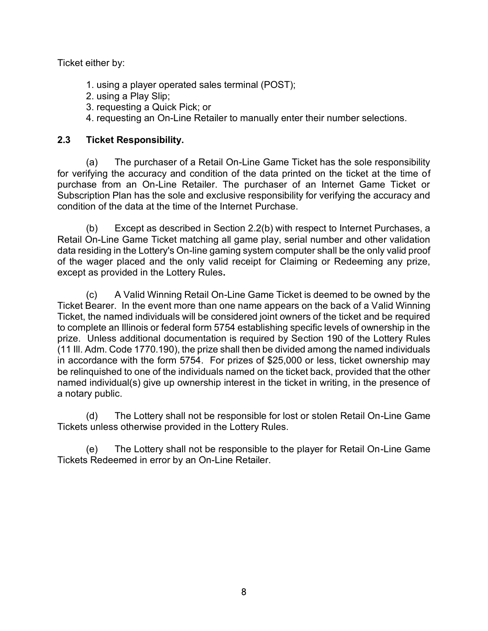Ticket either by:

- 
- 
- 
- either by:<br>1. using a player operated sales terminal (POST);<br>2. using a Play Slip;<br>3. requesting a Quick Pick; or<br>4. requesting an On-Line Retailer to manually enter their number s either by:<br>1. using a player operated sales terminal (POST);<br>2. using a Play Slip;<br>3. requesting a Quick Pick; or<br>4. requesting an On-Line Retailer to manually enter their number<br>Ticket Responsibility. either by:<br>1. using a player operated sales terminal (POST);<br>2. using a Play Slip;<br>3. requesting a Quick Pick; or<br>4. requesting an On-Line Retailer to manually enter their number<br>Ticket Responsibility.

#### 2.3 Ticket Responsibility.

either by:<br>1. using a player operated sales terminal (POST);<br>2. using a Play Slip;<br>3. requesting a Quick Pick; or<br>4. requesting an On-Line Retailer to manually enter their number selections.<br>Ticket Responsibility.<br>(a) The either by:<br>2. using a player operated sales terminal (POST);<br>2. using a Play Slip;<br>3. requesting a Quick Pick; or<br>4. requesting an On-Line Retailer to manually enter their number selections.<br>Ticket Responsibility.<br>(a) The for verifying the accuracy and condition of the data printed on the ticket at the time of purchase from an On-Line Retailer. The purchaser of an Internet Game Ticket or Subscription Plan has the sole and exclusive responsibility for verifying the accuracy and condition of the data at the time of the Internet Purchase. either by:<br>2. using a player operated sales terminal (POST);<br>2. using a Play Slip;<br>3. requesting a Quick Pick; or<br>4. requesting an On-Line Retailer to manually enter their number selections.<br>Ticket Responsibility.<br>(a) The

Retail On-Line Game Ticket matching all game play, serial number and other validation data residing in the Lottery's On-line gaming system computer shall be the only valid proof of the wager placed and the only valid receipt for Claiming or Redeeming any prize,

From the Lottery Schick The Corrist and the Corrist and Provident and Provident and Provident and Provident and Provident and Provident Corrist (a) The purchaser of a Retail On-Line Game Ticket has the sole responsibility Ticket Bearer. In the event more than one name appears on the back of a Valid Winning Ticket, the named individuals will be considered joint owners of the ticket and be required to complete an Illinois or federal form 5754 establishing specific levels of ownership in the prize. Unless additional documentation is required by Section 190 of the Lottery Rules (11 Ill. Adm. Code 1770.190), the prize shall then be divided among the named individuals in accordance with the form 5754. For prizes of \$25,000 or less, ticket ownership may be relinquished to one of the individuals named on the ticket back, provided that the other named individual(s) give up ownership interest in the ticket in writing, in the presence of a notary public. (b) Except as described in Section 2.2(b) with respect to Internet Purchases, a<br>(b) Except as described in Section 2.2(b) with respect to Internet Purchases, a<br>On-Line Game Ticket matching all game play, serial number and of the Lottery Son-line graining in genuine play, schon minibol and once vanidation<br>islding in the Lottery's On-line graining system computer shall be the only valid proof<br>wager placed and the only valid receipt for Claimi

Tickets unless otherwise provided in the Lottery Rules.

Tickets Redeemed in error by an On-Line Retailer.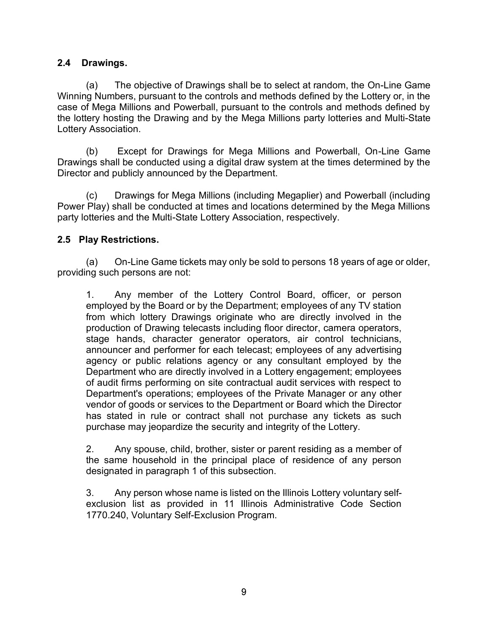2.4 Drawings.<br>
(a) The objective of Drawings shall be to select at randon<br>
Winning Numbers, pursuant to the controls and methods defined by<br>
case of Mega Millions and Powerball, pursuant to the controls and **Prawings.**<br>(a) The objective of Drawings shall be to select at random, the On-Line Game<br>g Numbers, pursuant to the controls and methods defined by the Lottery or, in the<br>f Mega Millions and Powerball, pursuant to the cont Winning Numbers, pursuant to the controls and methods defined by the Lottery or, in the case of Mega Millions and Powerball, pursuant to the controls and methods defined by the lottery hosting the Drawing and by the Mega Millions party lotteries and Multi-State Lottery Association. Trainings.<br>
(a) The objective of Drawings shall be to select at random, the On-Line Game<br>
g Numbers, pursuant to the controls and methods defined by the Lottery or, in the<br>
f Mega Millions and Powerball, pursuant to the co Trainings.<br>
(a) The objective of Drawings shall be to select at random, the On-Line Game<br>
g Numbers, pursuant to the controls and methods defined by the Lottery or, in the<br>
f Mega Millions and Powerball, pursuant to the co **Start Act The Start Conducts and The Conducts may only be solect at fractor, the On-Line Game of Nuega Millions and Powerball, pursuant to the controls and methods defined by the Lottery or, in the Mega Missions and Power** 

Drawings shall be conducted using a digital draw system at the times determined by the Director and publicly announced by the Department.

Power Play) shall be conducted at times and locations determined by the Mega Millions party lotteries and the Multi-State Lottery Association, respectively.

#### 2.5 Play Restrictions.

providing such persons are not:

(a)<br>
The control of the controls and methods defined by the Lottery or, in the<br>
f Mega Millions and Powerball, pursuant to the controls and methods defined by<br>
the Lottery or, in the<br>
f Mega Millions party lotteries and Mu employed by the Board or by the Department; employees of any TV station From the Detection and a controllation and the Detection and the Detection and the Casociation.<br>
They hosting the Drawing and by the Mega Millions party lotteries and Multi-State Association.<br>
(b) Except for Drawings for M production of Drawing telecasts including floor director, camera operators, stage hands, character generator operators, air control technicians, announcer and performer for each telecast; employees of any advertising agency or public relations agency or any consultant employed by the Department who are directly involved in a Lottery engagement; employees of audit firms performing on site contractual audit services with respect to Department's operations; employees of the Private Manager or any other vendor of goods or services to the Department or Board which the Director has stated in rule or contract shall not purchase any tickets as such purchase may jeopardize the security and integrity of the Lottery. (a) On-Line Game tickets may only be sold to persons 18 years of age or older, mg such persons are not:<br>
1. Any member of the Lottery Control Board, officer, or person<br>
1. Any member of the Lottery Control Board, officer, 1. Any member of the Lottery Control Board, officer, or person employed by the Board or by the Department; employees of any TV station from which lottery Drawing singinate who are directly involved in the production of Dra

the same household in the principal place of residence of any person designated in paragraph 1 of this subsection.

exclusion list as provided in 11 Illinois Administrative Code Section 1770.240, Voluntary Self-Exclusion Program.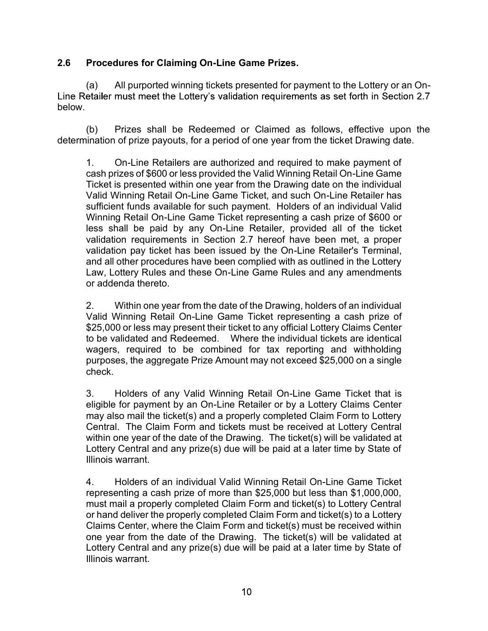#### 2.6 Procedures for Claiming On-Line Game Prizes.

Procedures for Claiming On-Line Game Prizes.<br>
(a) All purported winning tickets presented for payment to the Lottery or an On-<br>
etailer must meet the Lottery's validation requirements as set forth in Section 2.7<br>
(b) Prize below. **Procedures for Claiming On-Line Game Prizes.**<br>
(a) All purported winning tickets presented for payment to the Lottery or an On-<br>
etailer must meet the Lottery's validation requirements as set forth in Section 2.7<br>
(b) Pri

determination of prize payouts, for a period of one year from the ticket Drawing date.

Procedures for Claiming On-Line Game Prizes.<br>
(a) All purported winning tickets presented for payment to the Lottery or an On-<br>
etailer must meet the Lottery's validation requirements as set forth in Section 2.7<br>
(b) Prize cash prizes of \$600 or less provided the Valid Winning Retail On-Line Game Ticket is presented within one year from the Drawing date on the individual Valid Winning Retail On-Line Game Ticket, and such On-Line Retailer has **Procedures for Claiming On-Line Game Prizes.**<br>
(a) All purported winning tickets presented for payment to the Lottery or an On-<br>
etailer must meet the Lottery's validation requirements as set forth in Section 2.7<br>
(b) Pri Winning Retail On-Line Game Ticket representing a cash prize of \$600 or less shall be paid by any On-Line Retailer, provided all of the ticket validation requirements in Section 2.7 hereof have been met, a proper validation pay ticket has been issued by the On-Line Retailer's Terminal, and all other procedures have been complied with as outlined in the Lottery Law, Lottery Rules and these On-Line Game Rules and any amendments or addenda thereto. chancer must mice the Eoticry's vandation requirements as set fortat in eccesin 2.1<br>
(b) Prizes shall be Redeemed or Claimed as follows, effective upon the<br>
lination of prize payouts, for a period of one year from the tick Theretis presention univ to year from the Damier Dramative and on-Line Retailer has stratificient funds available for such paryment. Holders of an individual Valini Winning Retail On-Line Game Ticket representing a cash pr

Valid Winning Retail On-Line Game Ticket representing a cash prize of \$25,000 or less may present their ticket to any official Lottery Claims Center to be validated and Redeemed. Where the individual tickets are identical wagers, required to be combined for tax reporting and withholding purposes, the aggregate Prize Amount may not exceed \$25,000 on a single check.

eligible for payment by an On-Line Retailer or by a Lottery Claims Center may also mail the ticket(s) and a properly completed Claim Form to Lottery What the Central Central Central Central Central Central Central Central Central Central Central Central Central Central Central Central Central Central Central Central Central Central Central Central Central Central Centr exas arian er para by any on-t-line reading the On-Line Reality control any ticket has been in the date of the Drawing. And all other procedures have been complied with as outlined in the Lottery Law, Lottery Rules and the Lottery Central and any prize(s) due will be paid at a later time by State of Illinois warrant. Example The discussion of a method of the Drawing Andeles and any anti-thinding Detail On-Line Game Ticket representing a cash prize of \$25,000 or less may present their ticket to any official Lottery Claims Center \$25,000

representing a cash prize of more than \$25,000 but less than \$1,000,000, must mail a properly completed Claim Form and ticket(s) to Lottery Central **Example The proper standard Condition** Symbol Calim Form and the presenting a cash prize of \$25,000 or less may present their ticket to any official Lottery Calims Center to be validated and Redeemed. Where the individual Claims Center, where the Claim Form and ticket(s) must be received within solven the same present in the date of the Drawing Collins of the be validated and Redeemed. Where the individual tickets are identical to be validated and Redeemed. Where the individual tickets are identical purposes, the Lottery Central and any prize(s) due will be paid at a later time by State of Illinois warrant.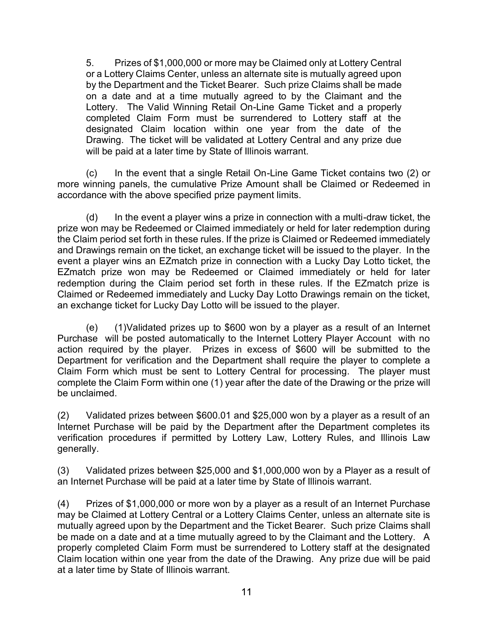5. Prizes of \$1,000,000 or more may be Claimed only at Lottery Central<br>or a Lottery Claims Center, unless an alternate site is mutually agreed upon<br>by the Department and the Ticket Bearer. Such prize Claims shall be made<br>o or a Lottery Claims Center, unless an alternate site is mutually agreed upon 5. Prizes of \$1,000,000 or more may be Claimed only at Lottery Central<br>or a Lottery Claims Center, unless an alternate site is mutually agreed upon<br>by the Department and the Ticket Bearer. Such prize Claims shall be made<br>o on a date and at a time mutually agreed to by the Claimant and the 5. Prizes of \$1,000,000 or more may be Claimed only at Lottery Central<br>or a Lottery Claims Center, unless an alternate site is mutually agreed upon<br>by the Department and the Ticket Bearer. Such prize Claims shall be made<br>o completed Claim Form must be surrendered to Lottery staff at the designated Claim location within one year from the date of the 5. Prizes of \$1,000,000 or more may be Claimed only at Lottery Central<br>or a Lottery Claims Center, unless an alternate site is mutually agreed upon<br>by the Department and the Ticket Bearer. Such prize Claims shall be made<br> will be paid at a later time by State of Illinois warrant. Frizes of \$1,000,000 or more may be Claimed only at Lottery Central<br>or a Lottery Claims Center, unless an alternate site is mutually agreed upon<br>by the Department and the Ticket Bearer. Such prize Claims shall be made<br>to t 5. Prizes of \$1,000,000 or more may be Claimed only at Lottery Central<br>or a Lottery Claims Center, unless an alternate site is mutually agreed upon<br>on a date and at a time mutually agreed to by the Claims shall be made<br>cl

more winning panels, the cumulative Prize Amount shall be Claimed or Redeemed in accordance with the above specified prize payment limits.

prize won may be Redeemed or Claimed immediately or held for later redemption during the Claim period set forth in these rules. If the prize is Claimed or Redeemed immediately and Drawings remain on the ticket, an exchange ticket will be issued to the player. In the event a player wins an EZmatch prize in connection with a Lucky Day Lotto ticket, the EZmatch prize won may be Redeemed or Claimed immediately or held for later redemption during the Claim period set forth in these rules. If the EZmatch prize is Claimed or Redeemed immediately and Lucky Day Lotto Drawings remain on the ticket, and a call at a dimer inducture and a three ticket for Lucky Day Lottery. The Valid Winning Retail On-Line Game Ticket and a properly completed Claim Form must be surrendered to Lottery staff at the designated Claim locati complexite that in the same of the same of the base of the Drawing. The ticket will be paid at later time by State of llines workers will be paid at later time by State of Illinois warrant and any prize due will be paid at (d) In the event a player wins a prize in connection with a multi-draw ticket, the<br>prize wom may be Redeemed or Claimed inmediately or held for later redemption during<br>the Claim period set forth in these rules. If the pri

Purchase will be posted automatically to the Internet Lottery Player Account with no action required by the player. Prizes in excess of \$600 will be submitted to the Department for verification and the Department shall require the player to complete a Claim Form which must be sent to Lottery Central for processing. The player must complete the Claim Form within one (1) year after the date of the Drawing or the prize will be unclaimed. Figure with prize with measure and the claim prince of the measure of the CZ inter Calimed or Claimed or Claimed or Dating the CZ inter of the CZ inter computer computer of the computer computer of the calimed or Redeemed Solid and the prizes of \$1,000,000 or more won by a player as a result of an Internet Purchase will be posted automatically to the Internet Lottery Player Account with no Purchase will be posted automatically to the Intern

Internet Purchase will be paid by the Department after the Department completes its verification procedures if permitted by Lottery Law, Lottery Rules, and Illinois Law generally.

an Internet Purchase will be paid at a later time by State of Illinois warrant.

may be Claimed at Lottery Central or a Lottery Claims Center, unless an alternate site is mutually agreed upon by the Department and the Ticket Bearer. Such prize Claims shall be made on a date and at a time mutually agreed to by the Claimant and the Lottery. A properly completed Claim Form must be surrendered to Lottery staff at the designated Claim location within one year from the date of the Drawing. Any prize due will be paid at a later time by State of Illinois warrant.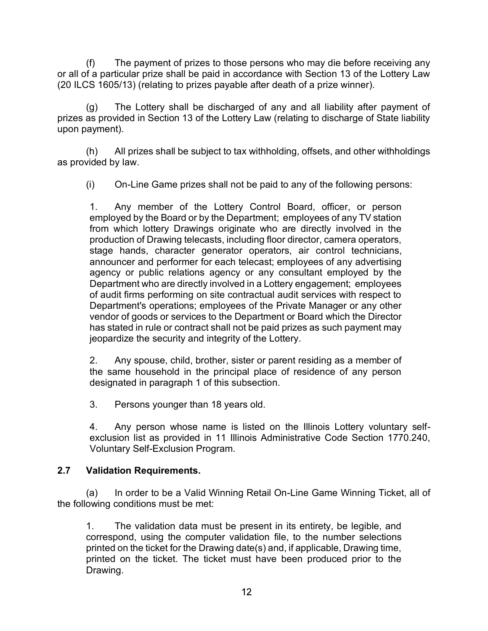(f) The payment of prizes to those persons who may die before receiving any<br>f a particular prize shall be paid in accordance with Section 13 of the Lottery Law<br>CS 1605/13) (relating to prizes payable after death of a prize or all of a particular prize shall be paid in accordance with Section 13 of the Lottery Law (20 ILCS 1605/13) (relating to prizes payable after death of a prize winner).

(f) The payment of prizes to those persons who may die before receiving any<br>
f a particular prize shall be paid in accordance with Section 13 of the Lottery Law<br>
CS 1605/13) (relating to prizes payable after death of a pr prizes as provided in Section 13 of the Lottery Law (relating to discharge of State liability upon payment). (f) The payment of prizes to those persons who may die before receiving any<br>
f a particular prize shall be paid in accordance with Section 13 of the Lottery Law<br>
CS 1605/13) (relating to prizes payable after death of a pr (f) The payment of prizes to those persons who may die before receiving any<br>
f a particular prize shall be paid in accordance with Section 13 of the Lottery Law<br>
CS 1605/13) (relating to prizes payable after death of a pri

as provided by law.

1. The payment of prizes to those persons who may die before receiving any<br>
2. Any member of the Lottery Law<br>
1. Any member of the Lottery Law<br>
1. The Lottery shall be paid in accordance with Section 13 of the Lottery Law<br> employed by the Board or by the Department; employees of any TV station from which lottery Drawings originate who are directly involved in the production of Drawing telecasts, including floor director, camera operators, stage hands, character generator operators, air control technicians, announcer and performer for each telecast; employees of any advertising agency or public relations agency or any consultant employed by the Department who are directly involved in a Lottery engagement; employees of audit firms performing on site contractual audit services with respect to of local in Section 13 of the distinguion and the sisted of any and all liability after payment of symplection 13 of the Lottery Law (relating to discharge of State liability syment).<br>
All prizes shall be subject to tax wi Department's operations; employees of the Private Manager or any other vendor of goods or services to the Department or Board which the Director has stated in rule or contract shall not be paid prizes as such payment may jeopardize the security and integrity of the Lottery. From the prices shall be paid to any of the following persons:<br>
(ded by law.<br>
2. Any member of the Lottery Control Board, officer, or person employed by the Board or by the Doreposite from which lottery Drawings originate 1. Any member of the Lottery Control Board, officer, or pemployed by the Board or by the Department; employees of any TV sfrom which lottery Drawings originate who are directly involved production of Drawing telecasts, inc Employed by the bound of by the Eepartment, employees of any it v suator<br>from which lottery Drawings originate who are directly involved in the<br>production of Drawing telecasts, including floor director, camera operators,<br>s Experiment was a tracking on site contractual audit services with respect to<br>Department's operations; employees of the Physie Manger or any other<br>Department's operations; employes of the Pepartment or Board winch the Direc

the same household in the principal place of residence of any person designated in paragraph 1 of this subsection.

exclusion list as provided in 11 Illinois Administrative Code Section 1770.240, Voluntary Self-Exclusion Program.

#### 2.7 Validation Requirements.

the following conditions must be met:

Face the security and interest of the principle and principle and principle and interesting as a member of the saintail not be paid prizes as such payment may jeopardize the security and integrity of the Lottery.<br>
2. Any s ricorresponding the security and integrity of the Lottery.<br>
2. Any spouse, child, brother, sister or parent residing as a member of<br>
the same household in the principal place of residence of any person<br>
designated in parag printed on the ticket for the Drawing date(s) and, if applicable, Drawing time, printed on the ticket. The ticket must have been produced prior to the Drawing.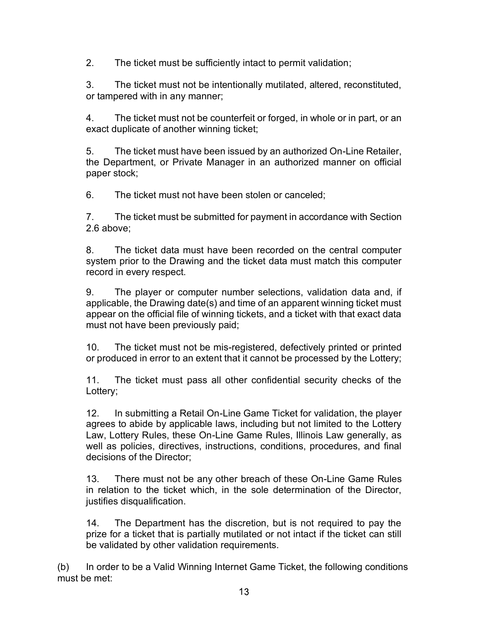2. The ticket must be sufficiently intact to permit validation;<br>3. The ticket must not be intentionally mutilated, altered, reconstituted,<br>or tampered with in any manner; or tampered with in any manner;

2. The ticket must be sufficiently intact to permit validation;<br>3. The ticket must not be intentionally mutilated, altered, reconstituted,<br>or tampered with in any manner;<br>4. The ticket must not be counterfeit or forged, in exact duplicate of another winning ticket;

2. The ticket must be sufficiently intact to permit validation;<br>
3. The ticket must not be intentionally mutilated, altered, reconstituted,<br>
4. The ticket must not be counterfeit or forged, in whole or in part, or an<br>
exac The ticket must be sufficiently intact to permit validation;<br>
3. The ticket must not be intentionally mutilated, altered, reconstituted,<br>
or tampered with in any manner;<br>
4. The ticket must not be counterfeit or forged, in the Department, or Private Manager in an authorized manner on official paper stock; Fraction 12. The ticket must be sufficiently intact to permit validation;<br>
1. The ticket must not be intentionally mutilated, altered, reconstituted<br>
1. The ticket must not be counterfeit or forged, in whole or in part, or The ticket must be sufficiently intact to permit validation;<br>
3. The ticket must not be intentionally mutilated, altered, reconstituted,<br>
4. The ticket must not be counterfeit or forged, in whole or in part, or an<br>
exact d

2.6 above;

The ticket must be sufficiently intact to permit validation;<br>
1. The ticket must not be intentionally mutilated, altered, reconstituted,<br>
1. The ticket must not be counterfeit or forged, in whole or in part, or an<br>
exact d system prior to the Drawing and the ticket data must match this computer record in every respect.

9. The ticket must not be internionally mutialed, altered, reconstituted,<br>a. The ticket must not be counterfeit or forged, in whole or in part, or an<br>exact duplicate of another winning ticket;<br>b. The ticket must have been or tampered with in any manner;<br>4. The ticket must not be counterfeit or forged, in whole or in part, or an<br>exact duplicate of another winning ticket;<br>5. The ticket must have been issued by an authorized On-Line Retailer,<br> appear on the official file of winning tickets, and a ticket with that exact data must not have been previously paid; 5. The ticket must have been issued by an authorized On-Line Retailer,<br>the Department, or Private Manager in an authorized manner on official<br>paper stock;<br>6. The ticket must not have been stolen or canceled;<br>7. The ticket paper stock;<br>
The ticket must not have been stolen or canceled;<br>
T. The ticket must be submitted for payment in accordance with Section<br>
2.6 above;<br>
8. The ticket data must have been recorded on the central computer<br>
syste

or produced in error to an extent that it cannot be processed by the Lottery;

Lottery:

7. The ticket must be submitted for payment in accordance with Section<br>2.6 above;<br>8. The ticket data must have been recorded on the central computer<br>system prior to the Drawing and the ticket data must match this computer<br> agrees to abide by applicable laws, including but not limited to the Lottery Law, Lottery Rules, these On-Line Game Rules, Illinois Law generally, as well as policies, directives, instructions, conditions, procedures, and final decisions of the Director; record in every respect.<br>
9. The player or computer number selections, validation data and, if<br>
applicable, the Drawing date(s) and time of an apparent winning ticket must<br>
appear on the official file of winning tickets, a sheet of the mindle in the original that the discretion, the discretion of the discretion of the discretion of the discretion, the bettery;<br>11. The ticket must pass all other confidential security checks of the<br>Detery;<br>11. (b) In order to be a Valid Winning Internet Game Ticket, the following conditions<br>
(b) In order to be a Valid Min-line Game Ticket for validation, the player<br>
12. In submitting a Retail On-Line Game Ticket for validation,

in relation to the ticket which, in the sole determination of the Director, justifies disqualification.

prize for a ticket that is partially mutilated or not intact if the ticket can still be validated by other validation requirements.

must be met: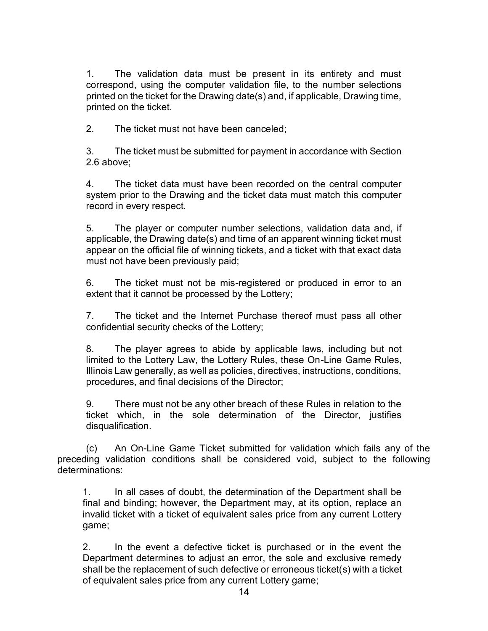1. The validation data must be present in its entirety and must<br>correspond, using the computer validation file, to the number selections<br>printed on the ticket for the Drawing date(s) and, if applicable, Drawing time,<br> $\overline{\$ correspond, using the computer validation file, to the number selections printed on the ticket for the Drawing date(s) and, if applicable, Drawing time, printed on the ticket. 2. The validation data must be present in its entirety and<br>correspond, using the computer validation file, to the number sele-<br>printed on the ticket for the Drawing date(s) and, if applicable, Drawing<br>printed on the ticket 3. The validation data must be present in its entirety and must<br>correspond, using the computer validation file, to the number selections<br>printed on the ticket for the Drawing date(s) and, if applicable, Drawing time,<br>print 1. The validation data must be present in its entirety and must<br>correspond, using the computer validation file, to the number selections<br>printed on the ticket for the Drawing date(s) and, if applicable, Drawing time,<br>print

2.6 above;

system prior to the Drawing and the ticket data must match this computer record in every respect.

The validation data must be present in its entirety and must<br>correspond, using the computer validation file, to the number selections<br>printed on the ticket for the Drawing date(s) and, if applicable, Drawing time,<br>printed applicable, the Drawing date(s) and time of an apparent winning ticket must appear on the official file of winning tickets, and a ticket with that exact data must not have been previously paid; 1. The valuation data must be piesent in its sentent in the valuation of correspond, using the computer validation file, to the number selections printed on the ticket for the Drawing date(s) and, if applicable, Drawing ti 2. The ticket must have been canceled;<br>
2. The ticket must be submitted for payment in accordance with Section<br>
2.6 above;<br>
4. The ticket data must have been recorded on the central computer<br>
system prior to the Drawing an 3. The ticket must be submitted for payment in accordance with Section 2.6 above;<br>2.6 above;<br>3. The ticket data must have been recorded on the central computer<br>system prior to the Drawing and the ticket data must match thi system prior to the Drawing and the ucket vala mast match runs computer<br>
9. The player or computer number selections, validation data and, if<br>
applicable, the Drawing date(s) and time of an apparent winning ticket must<br>
mu

extent that it cannot be processed by the Lottery;

confidential security checks of the Lottery;

limited to the Lottery Law, the Lottery Rules, these On-Line Game Rules, Illinois Law generally, as well as policies, directives, instructions, conditions, procedures, and final decisions of the Director; eppear on the official file of winning tickets, and a ticket with that exact data must not have been previously paid;<br>
6. The ticket must not be mis-registered or produced in error to an extent that it cannot be processed

ticket which, in the sole determination of the Director, justifies disqualification.

preceding validation conditions shall be considered void, subject to the following determinations:

1. The ticket which the time-termination of the Department shall other that it cannot be processed by the Lottery;<br>
1. The ticket and the Internet Purchase thereof must pass all other<br>
2. The player agrees to abide by appl final and binding; however, the Department may, at its option, replace an invalid ticket with a ticket of equivalent sales price from any current Lottery game;

8. The player agrees to abide by applicable laws, including but not limited to the Lottery Law, the Lottery Rules, these On-Line Game Rules, lilliniois Law generally, as well as policies, directives, instructions, conditio Department determines to adjust an error, the sole and exclusive remedy shall be the replacement of such defective or erroneous ticket(s) with a ticket of equivalent sales price from any current Lottery game;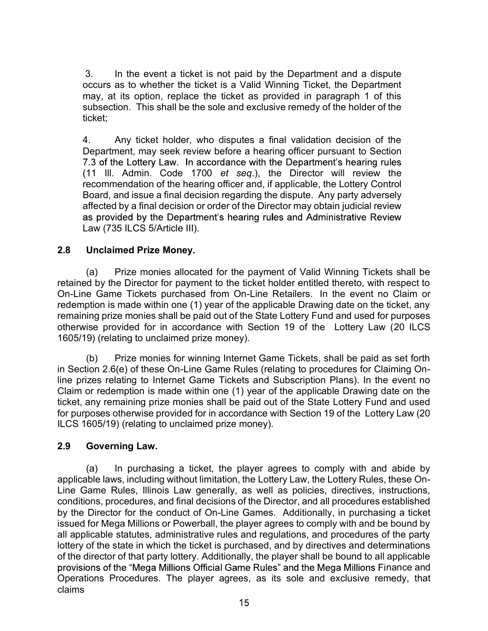3. In the event a ticket is not paid by the Department and a dispute<br>occurs as to whether the ticket is a Valid Winning Ticket, the Department<br>may, at its option, replace the ticket as provided in paragraph 1 of this<br>subse occurs as to whether the ticket is a Valid Winning Ticket, the Department may, at its option, replace the ticket as provided in paragraph 1 of this subsection. This shall be the sole and sole and the sole and a sole and solution.<br>
Subsection. This shall be the sole and exclusive remedy of the holder of the subsection. This shall be the sole and exclusive remedy of the ticket;

3. In the event a ticket is not paid by the Department and a dispute<br>occurs as to whether the ticket is a Valid Winning Ticket, the Department<br>may, at its option, replace the ticket as provided in paragraph 1 of this<br>subs 3. In the event a ticket is not paid by the Department and a dispute<br>occurs as to whether the ticket is a Valid Winning Ticket, the Department<br>may, at its option, replace the ticket as provided in paragraph 1 of this<br>subse (11 Ill. Admin. Code 1700 et seq.), the Director will review the recommendation of the hearing officer and, if applicable, the Lottery Control Board, and issue a final decision regarding the dispute. Any party adversely affected by a final decision or order of the Director may obtain judicial review Law (735 ILCS 5/Article III). 3. In the event a ticket is not paid by the Department and a dispute<br>occurs as to whether the ticket is a Valid Winning Ticket, the Department<br>may, at its option, replace the ticket as provided in paragraph 1 of this<br>subse 3. In the event a ticket is not paid by the Department and a dispute<br>occurs as to whether the ticket is a Valid Winning Ticket, the Department<br>may, at its option, replace the ticket as provided in paragraph 1 of this<br>subse oncours as wheneve the ucet is a van whiming those, the bepatiment the user that where the tickets as provided in paragraph 1 of this subsection. This shall be the sole and exclusive remedy of the holder of the ticket;<br>4.

retained by the Director for payment to the ticket holder entitled thereto, with respect to redemption is made within one (1) year of the applicable Drawing date on the ticket, any remaining prize monies shall be paid out of the State Lottery Fund and used for purposes otherwise provided for in accordance with Section 19 of the Lottery Law (20 ILCS 1605/19) (relating to unclaimed prize money). begarment, may seek revive before a nearing onter pursuant to section<br>
(3.3 of the Lottery Law. In accordance with the Department's hearing rules<br>
11 III. Admin. Code 1700 *et* seq.), the Director will review the<br>
ecommen (a) Prize monies allocated for the payment of Valid Winning Tickets shall be dy the Director for payment to the ticket holder entitled thereto, with respect to Glaim or Game Tickets purchased from On-Line Retailers. In th

in Section 2.6(e) of these On-Line Game Rules (relating to procedures for Claiming Online prizes relating to Internet Game Tickets and Subscription Plans). In the event no Claim or redemption is made within one (1) year of the applicable Drawing date on the ticket, any remaining prize monies shall be paid out of the State Lottery Fund and used for purposes otherwise provided for in accordance with Section 19 of the Lottery Law (20 ILCS 1605/19) (relating to unclaimed prize money).

#### 2.9 Governing Law.

applicable laws, including without limitation, the Lottery Law, the Lottery Rules, these On-Helmetta by the Director or payment to the lucket mole to the the mode there to chain or D-Line Game Tickets purchased from On-Line Retailers. In the event no Claim or redemption is made within one (1) year of the applicab on-Line Garme lickets purchasing and on Uni-Line Retailers. In the event no claim of redemption is made within one (1) year of the applicable Drawing date on the ticket, any remaining prize monies shall be paid out of the retemption is matace within orie (1) year or the appircate Drawing date on the ticket, and<br>remaining prize monies shall be paid out of the State Lottery Fund and used for purposes<br>otherwise provided for in accordance with issued for Mega Millions or Powerball, the player agrees to comply with and be bound by all applicable statutes, administrative rules and regulations, and procedures of the party lottery of the state in which the ticket is purchased, and by directives and determinations of the director of that party lottery. Additionally, the player shall be bound to all applicable provisions of the "Mega Millions Official Game Rules" and the Mega Millions Finance and Operations Procedures. The player agrees, as its sole and exclusive remedy, that claims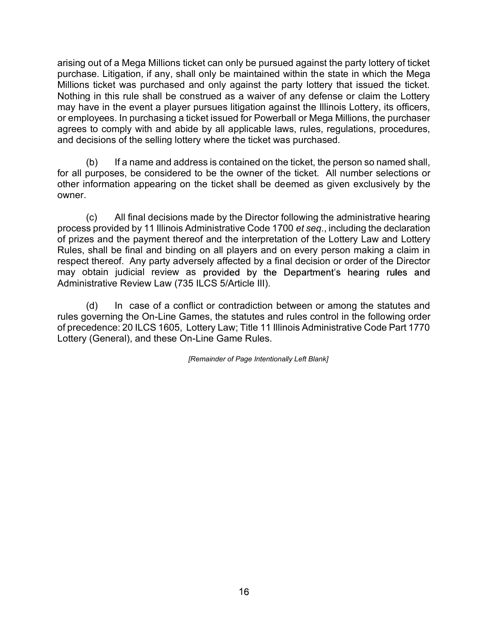arising out of a Mega Millions ticket can only be pursued against the party lottery of ticket purchase. Litigation, if any, shall only be maintained within the state in which the Mega Millions ticket was purchased and only against the party lottery that issued the ticket. Nothing in this rule shall be construed as a waiver of any defense or claim the Lottery may have in the event a player pursues litigation against the Illinois Lottery, its officers, or employees. In purchasing a ticket issued for Powerball or Mega Millions, the purchaser agrees to comply with and abide by all applicable laws, rules, regulations, procedures, and decisions of the selling lottery where the ticket was purchased. out of a Mega Millions ticket can only be pursued against the party lottery of ticket<br>se. Litigation, if any, shall only be maintained within the state in which the Mega<br>s ticket was purchased and only against the party lo arising out of a Mega Millions ticket can only be pursued against the party lottery of ticket<br>purchase. Litigation, if any, shall only be maintained within the state in which the Mega<br>Millions ticket was purchased and only out of a Mega Millions ticket can only be pursued against the party lottery of ticket see. Litigation, if any, shall only be maintained within the state in which the Mega<br>si ticket was purchased and only against the party arising out of a Mega Millions ticket can only be pursued against the party lottery of ticket by Millions ticket was purchased and only against the party blettery Millions ticket was purchased and only against the party bl

other information appearing on the ticket shall be deemed as given exclusively by the owner.

process provided by 11 Illinois Administrative Code 1700 et seq., including the declaration Rules, shall be final and binding on all players and on every person making a claim in respect thereof. Any party adversely affected by a final decision or order of the Director may obtain judicial review as provided by the Department's hearing rules and Administrative Review Law (735 ILCS 5/Article III). metrial use similar the constance as a water of any density of a commit the cuttery is officers, the purchase for powerball or Mega Millions, the purchaser is to comply with and abide by all applicable laws, rules, regulat

rules governing the On-Line Games, the statutes and rules control in the following order of precedence: 20 ILCS 1605, Lottery Law; Title 11 Illinois Administrative Code Part 1770 Lottery (General), and these On-Line Game Rules.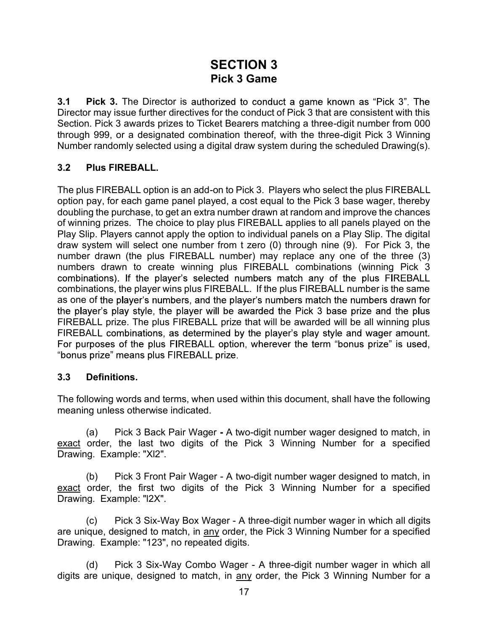# SECTION 3 Pick 3 Game

**3.1 Pick 3.** The Director is authorized to conduct a game known as "Pick 3". The Director may issue further directives for the conduct of Pick 3 that are consistent with this Section. Pick 3 awards prizes to Ticket Bearers matching a three-digit number from 000 through 999, or a designated combination thereof, with the three-digit Pick 3 Winning Number randomly selected using a digital draw system during the scheduled Drawing(s).

#### 3.2 Plus FIREBALL.

The plus FIREBALL option is an add-on to Pick 3. Players who select the plus FIREBALL option pay, for each game panel played, a cost equal to the Pick 3 base wager, thereby doubling the purchase, to get an extra number drawn at random and improve the chances **SECTION 3**<br>**Pick 3 Game**<br>**SECTION 3**<br>**Director may issue further directives for the conduct of Pick 3 that are consistent with this<br>Section. Pick 3 awards prizes to Ticket Bearers matching a three-digit number from 000<br>th** Play Slip. Players cannot apply the option to individual panels on a Play Slip. The digital draw system will select one number from t zero (0) through nine (9). For Pick 3, the number drawn (the plus FIREBALL number) may replace any one of the three (3) numbers drawn to create winning plus FIREBALL combinations (winning Pick 3 combinations, the player wins plus FIREBALL. If the plus FIREBALL number is the same as one of the player's numbers, and the player's numbers match the numbers drawn for FIREBALL prize. The plus FIREBALL prize that will be awarded will be all winning plus FIREBALL combinations, as determined by the player's play style and wager amount. (a) Pick 3 Back Pair Wager - A two-digit number wager designed to match incomple provide the neumber from t zero (0) through nine (9). For Pick 3, the r drawn (the plus FIREBALL number) may replace any one of the three (3) For syour-responsive the plus FIREBALL number from the responsive of the rise of the three (3) For Pick 3, the number drawn (the plus FIREBALL combinations) (winning Pick 3 combinations). If the player's selected numbers m Now you. The plus FIREBALL number) may replace any one in<br>number drawn (the plus FIREBALL number) may replace any one in<br>numbers drawn to create winning plus FIREBALL combinations (combinations). If the player's selected n It was the player in the creat winning player in the player is selected numbers match any of the plus FIREBALL antitions). If the player wins plus FIREBALL if the plus FIREBALL numbers the same of the player's numbers, and combinations, the player wins plus FIREBALL. If the plus FIREBALL number is the same<br>combinations, the player sumbers, and the player's numbers match the numbers drawn for<br>the player's play style, the player will be awarde Somblination, the putyce with putch and the player's numbers match the numbers of the player's numbers, and the player's numbers match the number of the player's play style, the player will be awarded due Pick 3 base princ (c) Pick 3 Front Pair Wager - A two-digit number wager in which all digits<br>(all prize. The plus FIREBALL prize that will be awarded will be all winning plus<br>ALL combinations, as determined by the player's play style and wa FIREBALL combinations, as determined by the player's play style and waver amimal process of the plus FIREBALL option, wherever the term "bonus prize" is used, "bonus prize" means plus FIREBALL option, wherever the term "bo

#### 3.3 Definitions.

The following words and terms, when used within this document, shall have the following meaning unless otherwise indicated.

Definitions.<br>
University and terms, when used within this document, shall have the following<br>
(a) Pick 3 Back Pair Wager - A two-digit number wager designed to match, in<br>
order, the last two digits of the Pick 3 Winning N 3.3 **Definitions.**<br>
The following words and terms, when used within this document, shall have the following<br>
meaning unless otherwise indicated.<br>
(a) Pick 3 Back Pair Wager - A two-digit number wager designed to match, in

Drawing. Example: "123", no repeated digits.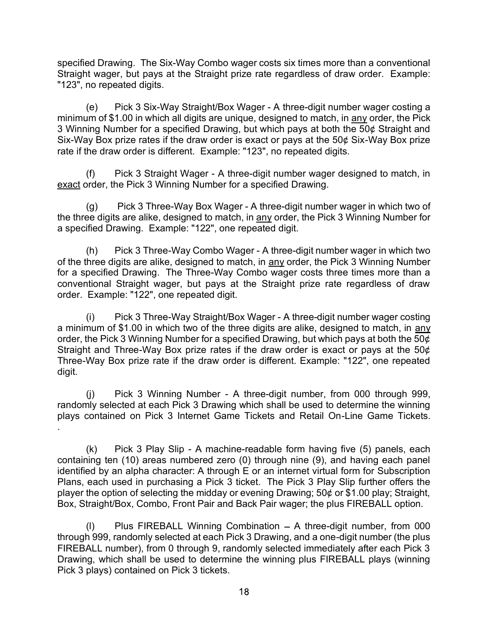specified Drawing. The Six-Way Combo wager costs six times more than a conventional<br>Straight wager, but pays at the Straight prize rate regardless of draw order. Example:<br>"123", no repeated digits.<br>(e) Pick 3 Six-Way Strai specified Drawing. The Six-Way Combo wager costs six times more than a conventional<br>Straight wager, but pays at the Straight prize rate regardless of draw order. Example:<br>"123", no repeated digits.<br>(e) Pick 3 Six-Way Strai "123", no repeated digits.

ed Drawing. The Six-Way Combo wager costs six times more than a conventional<br>ti wager, but pays at the Straight prize rate regardless of draw order. Example:<br>no repeated digits.<br>(e) Pick 3 Six-Way Straight/Box Wager - A th specified Drawing. The Six-Way Combo wager costs six times more than a conventional<br>Straight wager, but pays at the Straight prize rate regardless of draw order. Example:<br>"123", no repeated digits.<br>(e) Pick 3 Six-Way Strai 3 Winning Number for a specified Drawing, but which pays at both the 50¢ Straight and Six-Way Box prize rates if the draw order is exact or pays at the  $50¢$  Six-Way Box prize rate if the draw order is different. Example: "123", no repeated digits. specified Drawing. The Six-Way Combo wager costs six times more than a conventional<br>Straight wager, but pays at the Straight prize rate regardless of draw order. Example:<br>"123", no repeated digits.<br>(e) Pick 3 Six-Way Stra ed Drawing. The Six-Way Combo wager costs six times more than a conventional<br>th wager, but pays at the Straight prize rate regardless of draw order. Example:<br>no repeated digits.<br>(e) Pick 3 Six-Way Straight/Box Wager - A th specified Drawing. The Six-Way Combo wager costs six times more than a converting that wager, but pays at the Straight prize rate regardless of draw order. En "123", no repeated digits.<br>
(e) Pick 3 Six-Way Straight/Box Wa ed Drawing. The Six-Way Combo wager costs six times more than a conventional<br>the wager, but pays at the Straight prize rate regardless of draw order. Example:<br>(e) Pick 3 Six-Way Straight/Box Wager - A three-digit number wa specified Drawing. The Six-Way Combo wager costs six times more than a conventional<br>Straight wager, but pays at the Straight prize rate regardless of draw order. Example:<br>"123", no repeated digits.<br>(e) Pick 3 Six-Way Strai specified Drawing. The Six-Way Combo wager costs six times more than a convent<br>Straight wager, but pays at the Straight prize rate regardless of draw order. Example:<br>"123", no repeated digits.<br>
(e) Pick 3 Six-Way Straight/

ed Drawing. The Six-Way Combo wager costs six times more than a conventional<br>th wager, but pays at the Straight prize rate regardless of draw order. Example:<br>no repeated digits.<br>(e) Pick 3 Six-Way Straight/Box Wager - A th specified Drawing. The Six-Way Combo wager costs six times more than a conventional<br>Straight wager, but pays at the Straight prize rate regardless of draw order. Example:<br>"123", no reparted digits.<br>(e) Pick 3 Six-Way Strai Straight wager, in convertion and convention and convertional Straight wager, but pays at the Straight prize rate regardless of draw order. Example:<br>"123", no repeated digits.<br>
(e) Pick 3 Six-Way Straight/Box Wager - A th conventional Straight wager, but pays at the Straight prize rate regardless of draw From this mum of \$1.00 in which all digits are unique, designed to match, in minimum of \$1.00 in which all digits are unique, designed to match, in 3 Winning Number for a specified Drawing, but which pays at both th Six-W

(c)<br>
Three-Consor and Boy and product and the state of the Diversity and the particle and the particle Drawing, but which and right and<br>
im of \$1.00 in which all digits are unique, designed to match, in any order, the Pick a minimum of \$1.00 in which two of the three digits are alike, designed to match, in any order, the Pick 3 Winning Number for a specified Drawing, but which pays at both the  $\overline{50\phi}$ Straight and Three-Way Box prize rates if the draw order is exact or pays at the 50¢ Three-Way Box prize rate if the draw order is different. Example: "122", one repeated digit. (g) Pick 3 Three-Way Box Wager - A three-digit number wager in which two of<br>(g) Pick 3 Three-Way Box Wager - A three-digit number wager in which two of<br>tied Drawing. Example: "122", one repeated digit.<br>(h) Pick 3 Three-Way (h) Pick 3 Three-Way Combo Wager - A three-digit number wager in which two<br>for a specified prawing. The Three-Way Combo wager costs three limes more than a<br>conventional Straight wager, but pays at the Straight prize are m of the specified Drawing. The Three-Way Combo wager costs three times more than a<br>conventional Straight wager, but pays at the Straight prize rate regardess of draw<br>order. Example: "122", one repeated digit.<br>The e-Way Stra From the system of stating interview of the three-rigit number was interviewed in a system of the Figure in 122", one repeated digit.<br>
(i) Pick 3 Three-Way Straight/Box Wager - A three-digit number wager costing<br>
a minimu

randomly selected at each Pick 3 Drawing which shall be used to determine the winning plays contained on Pick 3 Internet Game Tickets and Retail On-Line Game Tickets.

containing ten (10) areas numbered zero (0) through nine (9), and having each panel identified by an alpha character: A through E or an internet virtual form for Subscription player the option of selecting the midday or evening Drawing; 50¢ or \$1.00 play; Straight, Box, Straight/Box, Combo, Front Pair and Back Pair wager; the plus FIREBALL option. (i)<br>
The most of the three-digits are alike, designed to match, in any<br>
num of \$1.00 in which two of the three digits are alike, designed to match, in any<br>
the Pick 3 Winning Number for a specified Drawing, but which pays mice-way box prize rate in the draw crider is sincernic. Example.<br>
(i) Pick 3 Winning Number - A three-digit number, from<br>
randomly selected at each Pick 3 Drawing which shall be used to de<br>
plays contained on Pick 3 Inter

through 999, randomly selected at each Pick 3 Drawing, and a one-digit number (the plus FIREBALL number), from 0 through 9, randomly selected immediately after each Pick 3 Drawing, which shall be used to determine the winning plus FIREBALL plays (winning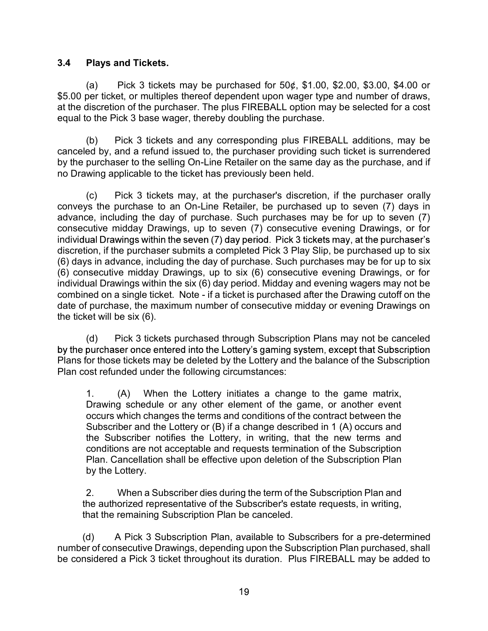#### 3.4 Plays and Tickets.

**Plays and Tickets.**<br>
(a) Pick 3 tickets may be purchased for  $50¢$ , \$1.00, \$2.00, \$3.00, \$4.00 or<br>
ber ticket, or multiples thereof dependent upon wager type and number of draws,<br>
discretion of the purchaser. The plus FI \$5.00 per ticket, or multiples thereof dependent upon wager type and number of draws, 3.4 Plays and Tickets.<br>
(a) Pick 3 tickets may be purchased for  $50\phi$ , \$1.00, \$2.00, \$3.00, \$4.00 or<br>
\$5.00 per ticket, or multiples thereof dependent upon wager type and number of draws,<br>
at the discretion of the purcha equal to the Pick 3 base wager, thereby doubling the purchase.

**Plays and Tickets.**<br>
(a) Pick 3 tickets may be purchased for  $50¢$ ,  $$1.00$ ,  $$2.00$ ,  $$3.00$ ,  $$4.00$  or ore ticket, or multiples thereof dependent upon wager type and number of draws, discretion of the purchaser. The p **Calceled by** (a) Fick 3 tickets may be purchased for 50¢, \$1.00, \$2.00, \$3.00, \$4.00 or \$5.00 per ticket, or multiples thereof dependent upon wager type and number of draws, at the discretion of the purchaser. The plus F by the purchaser to the selling On-Line Retailer on the same day as the purchase, and if no Drawing applicable to the ticket has previously been held.

**Plays and Tickets.**<br>
(a) Pick 3 tickets may be purchased for  $50\phi$ , \$1.00, \$2.00, \$3.00, \$4.00 or<br>
per ticket, or multiples thereof dependent upon wager type and number of draws,<br>
discretion of the purchaser. The plus F conveys the purchase to an On-Line Retailer, be purchased up to seven (7) days in advance, including the day of purchase. Such purchases may be for up to seven (7) consecutive midday Drawings, up to seven (7) consecutive evening Drawings, or for individual Drawings within the seven (7) day period. Pick 3 tickets may, at the purchaser's discretion, if the purchaser submits a completed Pick 3 Play Slip, be purchased up to six 3.4 Plays and Tickets.<br>
(a) Pick 3 tickets may be purchased for 50¢, \$1.00, \$2.00, \$3.00, \$4.00 or<br>
\$5.00 per ticket, or multiples thereof dependent upon wager type and number of draws,<br>
at the discretion of the purchaser (a) Princes States may be purchased for 50¢, \$1.00, \$2.00, \$3.00, \$4.00 or (a) Pick 3 tickets may be purchased for 50¢, \$1.00, \$2.00, \$3.00, \$4.00 or \$5.00 per ticket, or multiples thereof dependent upon wager type and nu individual Drawings within the six (6) day period. Midday and evening wagers may not be S5.00 per licket, or multiples thereof dependent upon wager type and number of draws,<br>at the discretion of the purchaser. The plus FIREBALL option may be selected for a cost<br>equal to the Pick 3 base wager, thereby doubling date of purchase, the maximum number of consecutive midday or evening Drawings on the ticket will be six (6). (b) Pick 3 tickets and any corresponding plus FIREBALL additions, may be earby, and a refund issued to, the purchaser providing such ticket is surrendered purchaser to the selling On-Line Retailer on the same day as the pu (c) Pick 3 tickets may, at the purchaser's discretion, if the purchaser orally<br>
or the purchase to an On-Line Retailer, be purchased up to seven (7) days in<br>
e.e, including the day of purchase. Such purchases may be for u

Plans for those tickets may be deleted by the Lottery and the balance of the Subscription Plan cost refunded under the following circumstances:

Drawing schedule or any other element of the game, or another event occurs which changes the terms and conditions of the contract between the Subscriber and the Lottery or (B) if a change described in 1 (A) occurs and the Subscriber notifies the Lottery, in writing, that the new terms and conditions are not acceptable and requests termination of the Subscription Plan. Cancellation shall be effective upon deletion of the Subscription Plan by the Lottery. Deal of the Subscriber when the same of the Subscriber of the Subscribers of the Praving and The prochase, the maximum number of consecutive midday or evening Drawings on et will be six (6).<br>
Pick 3 tickets purchased throu (d) Pick 3 tickets purchased through Subscription Plans may not be canceled<br>purchase rone entered into the Lottery's gaming system, except that Subscription<br>for those tickets may be deleted by the Lottery and the balance

the authorized representative of the Subscriber's estate requests, in writing, that the remaining Subscription Plan be canceled.

number of consecutive Drawings, depending upon the Subscription Plan purchased, shall be considered a Pick 3 ticket throughout its duration. Plus FIREBALL may be added to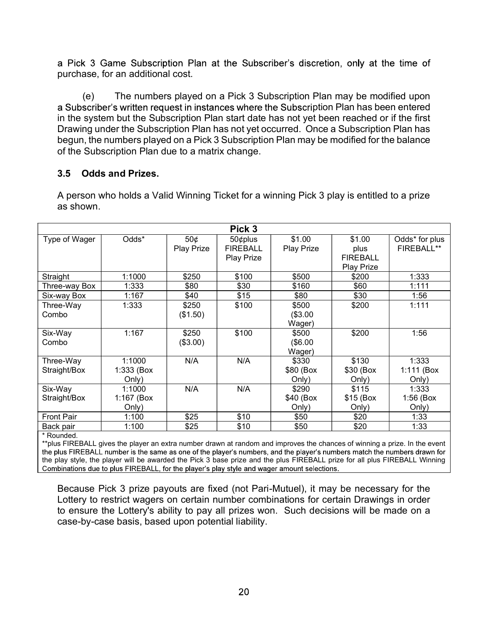purchase, for an additional cost.

(e) The numbers played on a Pick 3 Subscription Plan may be modified upon<br>see, for an additional cost.<br>(e) The numbers played on a Pick 3 Subscription Plan may be modified upon<br>scriber's written request in instances where a Subscriber's written request in instances where the Subscription Plan has been entered in the system but the Subscription Plan start date has not yet been reached or if the first Drawing under the Subscription Plan has not yet occurred. Once a Subscription Plan has begun, the numbers played on a Pick 3 Subscription Plan may be modified for the balance of the Subscription Plan due to a matrix change. a Pick 3 Game Subscription Plan at the Subscriber's discretion,<br>purchase, for an additional cost.<br>(e) The numbers played on a Pick 3 Subscription Plan m<br>a Subscripte's written request in instances where the Subscription P<br>

A person who holds a Valid Winning Ticket for a winning Pick 3 play is entitled to a prize as shown.

|                           |                                                                                                                                                                                                                                                                                                                                                                                                                                                                                      |                   | Pick 3                                          |                             |                                                 |                               |
|---------------------------|--------------------------------------------------------------------------------------------------------------------------------------------------------------------------------------------------------------------------------------------------------------------------------------------------------------------------------------------------------------------------------------------------------------------------------------------------------------------------------------|-------------------|-------------------------------------------------|-----------------------------|-------------------------------------------------|-------------------------------|
| Type of Wager             | Odds*                                                                                                                                                                                                                                                                                                                                                                                                                                                                                | 50¢<br>Play Prize | 50¢plus<br><b>FIREBALL</b><br><b>Play Prize</b> | \$1.00<br>Play Prize        | \$1.00<br>plus<br><b>FIREBALL</b><br>Play Prize | Odds* for plus<br>FIREBALL**  |
| Straight                  | 1:1000                                                                                                                                                                                                                                                                                                                                                                                                                                                                               | \$250             | \$100                                           | \$500                       | \$200                                           | 1:333                         |
| Three-way Box             | 1:333                                                                                                                                                                                                                                                                                                                                                                                                                                                                                | \$80              | \$30                                            | \$160                       | \$60                                            | 1:111                         |
| Six-way Box               | 1:167                                                                                                                                                                                                                                                                                                                                                                                                                                                                                | \$40              | \$15                                            | \$80                        | \$30                                            | 1:56                          |
| Three-Way<br>Combo        | 1:333                                                                                                                                                                                                                                                                                                                                                                                                                                                                                | \$250<br>(\$1.50) | \$100                                           | \$500<br>(\$3.00<br>Wager)  | \$200                                           | 1:111                         |
| Six-Way<br>Combo          | 1:167                                                                                                                                                                                                                                                                                                                                                                                                                                                                                | \$250<br>(\$3.00) | \$100                                           | \$500<br>(\$6.00<br>Wager)  | \$200                                           | 1:56                          |
| Three-Way<br>Straight/Box | 1:1000<br>1:333 (Box<br>Only)                                                                                                                                                                                                                                                                                                                                                                                                                                                        | N/A               | N/A                                             | \$330<br>\$80 (Box<br>Only) | \$130<br>\$30 (Box<br>Only)                     | 1:333<br>1:111 (Box<br>Only)  |
| Six-Way<br>Straight/Box   | 1:1000<br>1:167 (Box<br>Only)                                                                                                                                                                                                                                                                                                                                                                                                                                                        | N/A               | N/A                                             | \$290<br>\$40 (Box<br>Only) | \$115<br>$$15$ (Box<br>Only)                    | 1:333<br>$1:56$ (Box<br>Only) |
| <b>Front Pair</b>         | 1:100                                                                                                                                                                                                                                                                                                                                                                                                                                                                                | \$25              | \$10                                            | \$50                        | \$20                                            | 1:33                          |
| Back pair                 | 1:100                                                                                                                                                                                                                                                                                                                                                                                                                                                                                | \$25              | \$10                                            | \$50                        | \$20                                            | 1:33                          |
| * Rounded.                | **plus FIREBALL gives the player an extra number drawn at random and improves the chances of winning a prize. In the event<br>the plus FIREBALL number is the same as one of the player's numbers, and the player's numbers match the numbers drawn for<br>the play style, the player will be awarded the Pick 3 base prize and the plus FIREBALL prize for all plus FIREBALL Winning<br>Combinations due to plus FIREBALL, for the player's play style and wager amount selections. |                   |                                                 |                             |                                                 |                               |
|                           | Because Pick 3 prize payouts are fixed (not Pari-Mutuel), it may be necessary for the<br>Lottery to restrict wagers on certain number combinations for certain Drawings in order<br>to ensure the Lottery's ability to pay all prizes won. Such decisions will be made on a<br>case-by-case basis, based upon potential liability.                                                                                                                                                   |                   |                                                 |                             |                                                 |                               |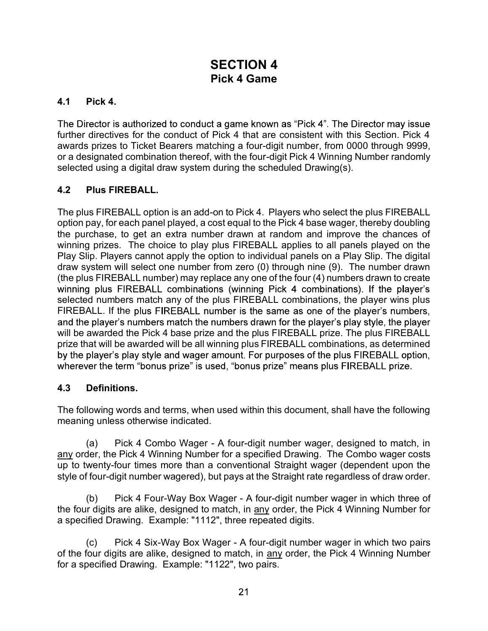# SECTION 4 Pick 4 Game

#### 4.1 Pick 4.

The Director is authorized to conduct a game known as "Pick 4". The Director may issue further directives for the conduct of Pick 4 that are consistent with this Section. Pick 4 awards prizes to Ticket Bearers matching a four-digit number, from 0000 through 9999, or a designated combination thereof, with the four-digit Pick 4 Winning Number randomly selected using a digital draw system during the scheduled Drawing(s).

### 4.2 Plus FIREBALL.

The plus FIREBALL option is an add-on to Pick 4. Players who select the plus FIREBALL option pay, for each panel played, a cost equal to the Pick 4 base wager, thereby doubling the purchase, to get an extra number drawn at random and improve the chances of winning prizes. The choice to play plus FIREBALL applies to all panels played on the Play Slip. Players cannot apply the option to individual panels on a Play Slip. The digital draw system will select one number from zero (0) through nine (9). The number drawn (the plus FIREBALL number) may replace any one of the four (4) numbers drawn to create selected numbers match any of the plus FIREBALL combinations, the player wins plus FIREBALL. If the plus FIREBALL number is the same as one of the player's numbers, will be awarded the Pick 4 base prize and the plus FIREBALL prize. The plus FIREBALL prize that will be awarded will be all winning plus FIREBALL combinations, as determined Four-singure of the combon Wager - A four-digit number wager, designed to matching in the pick of the pysics cannot apply the option to individual panels on a Play Silp. The digital in Players cannot apply the option to in when we stem clubes the proton of the pick and the Dividual panels on a Palay Slip. The digital<br>draw system will select one number from zero (0) through nine (9). The number drawn<br>drep plus FIREBALL combinations (winning y user in the plus FIREBALL combinations, the interpret in the player is the than the player in the player in the player in the player is the semi-RLL. If the player is an one of the players numbers match the numbers drawn solution in the player's number in the player in the player is underly the player in the player's numbers, and the player's number is the same as one of the player's numbers, and the player's numbers are the number is the Frame to the payrabidity and the player's numbers matted and the player's numbers match the numbers drawn for the player's play style, the p<br>will be awarded the Pick 4 base prize and the plus FIREBALL prize. The plus FIREE

#### 4.3 Definitions.

The following words and terms, when used within this document, shall have the following meaning unless otherwise indicated.

up to twenty-four times more than a conventional Straight wager (dependent upon the style of four-digit number wagered), but pays at the Straight rate regardless of draw order. what would be alwarded will be all winning plus FIREBALL combinations, as determined<br>player's play style and wager amount. For purposes of the plus FIREBALL option,<br>player's play style and wager amount. For purposes of the by the player's play style and wager amount, For purposes of the plus FIREBALL option,<br>wherever the term "bonus prize" is used, "bonus prize" means plus FIREBALL prize.<br>4.3 Definitions.<br>4.3 Definitions.<br>The following word by an engage of specified Drawing. The pulsos of the pulsos of the priority of the following words and terms, when used within this document, shall have the followin meaning unless otherwise indicated.<br>
4.3 Definitions.<br>
T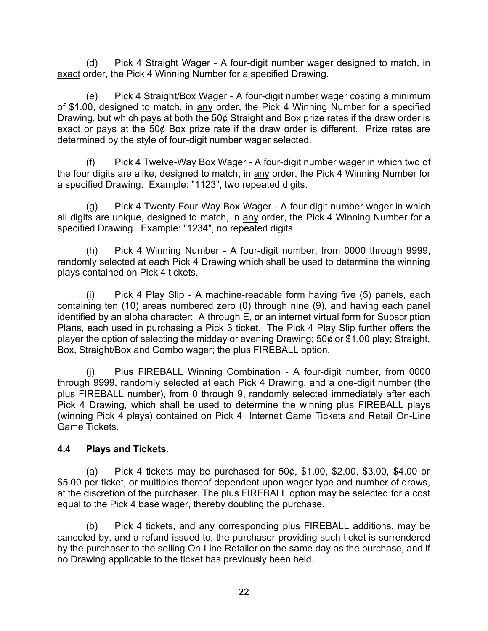(d) Pick 4 Straight Wager - A four-digit number wager designed to match, in<br>order, the Pick 4 Winning Number for a specified Drawing.<br>(e) Pick 4 Straight/Box Wager - A four-digit number wager costing a minimum<br>00, designed (d) Pick 4 Straight Wager - A four-digit number wager designed to mexact order, the Pick 4 Winning Number for a specified Drawing.<br>
(e) Pick 4 Straight/Box Wager - A four-digit number wager costing a m<br>
of \$1.00, designed (d) Pick 4 Straight Wager - A four-digit number wager designed to match, in order, the Pick 4 Winning Number for a specified Drawing.<br>(e) Pick 4 Straight/Box Wager - A four-digit number wager costing a minimum 00, designe (d) Pick 4 Straight Wager - A four-digit number wager designed to match, in exact order, the Pick 4 Winning Number for a specified Drawing.<br>
(e) Pick 4 Straight/Box Wager - A four-digit number wager costing a minimum<br>
of Drawing, but which pays at both the 50¢ Straight and Box prize rates if the draw order is exact or pays at the 50¢ Box prize rate if the draw order is different. Prize rates are determined by the style of four-digit number wager selected. (d) Pick 4 Straight Wager - A four-digit number wager designed to match, in<br>rder, the Pick 4 Winning Number for a specified Drawing.<br>(e) Pick 4 Straight/Box Wager - A four-digit number wager costing a minimum<br>0, designed t (d) Pick 4 Straight Wager - A four-digit number wager designed to match, in  $\frac{60}{2}$  and the Pick 4 Winning Number for a specified Drawing.<br>
(e) Pick 4 Straight/Box Wager - A four-digit number wager costing a minimum of (d) Pick 4 Straight Wager - A four-digit number wager designed to mate<br>
<u>exact</u> order, the Pick 4 Straight/Box Wager - A four-digit number wager costing a miniof \$1.00, designed to match, in <u>any</u> order, the Pick 4 Winnin (d) Pick 4 Straight Wager - A four-digit number wager designed to match, in<br>
order, the Pick 4 Winning Number for a specified Drawing.<br>
(e) Pick 4 Straight/Box Wager - A four-digit number wager costing a minimum<br>
(d), desi (d) Pick 4 Straight Wager - A four-digit number wager designed to match, in exact order, the Pick 4 Winning Number for a specified Drawing.<br>
(e) Pick 4 Straight/Box Wager - A four-digit number wager costing a minimum of \$ (d) Pick 4 Straight Wager - A four-digit number wager designed to mexact order, the Pick 4 Winning Number for a specified Drawing.<br>
(e) Pick 4 Straight/Box Wager - A four-digit number wager costing a min of \$1.00, designe (d) Pick 4 Straight Wager - A four-digit number wager designed to match, in<br>order, the Pick 4 Winning Number for a specified Drawing.<br>(e) Pick 4 Straight/Box Wager - A four-digit number wager costing a minimum<br>00, designed

randomly selected at each Pick 4 Drawing which shall be used to determine the winning plays contained on Pick 4 tickets.

(e) Pick 4 Straight/Box Wager - A four-digit number wager costing a minimum<br>on), designed to match, in any order, the Pick 4 Winning Number for a specified<br>on, dut which pays at both the 50¢ Straight and Box prize rates i containing ten (10) areas numbered zero (0) through nine (9), and having each panel or who are the 50% and the 196 and the 196 and the 196 and the 196 and the 197 and the space of pays at both the 50% Straight and Box prize rates if the draw order is exact or pays at both the 50% Box prize rate if the dra **Example, the Winder proportion of the Control of the Control of the Superinte Control of the Superintent Chip Fick 4 Twelve-Way Box Wager - A four-digit number wager in which two of the four digit further wagers selected** player the option of selecting the midday or evening Drawing;  $50\phi$  or \$1.00 play; Straight, Box, Straight/Box and Combo wager; the plus FIREBALL option. (v)<br>
Tradigits are alike, designed to match, in any order, the Pick 4 Winning Number for<br>
fried Drawing. Example: "1123", two repeated digits.<br>
(g) Pick 4 Twenty-Four-Way Box Wager - A four-digit number wager in which<br>
is

through 9999, randomly selected at each Pick 4 Drawing, and a one-digit number (the plus FIREBALL number), from 0 through 9, randomly selected immediately after each Pick 4 Drawing, which shall be used to determine the winning plus FIREBALL plays (winning Pick 4 plays) contained on Pick 4 Internet Game Tickets and Retail On-Line Game Tickets. My solected and Pick 4 tickets.<br>
(i) Pick 4 Play Slip - A machine-readable form having five (5) panels, each<br>
ing ten (10) areas numbered zero (0) through nine (9), and having each panel<br>
ed by an alpha character: A throug (i) Pick 4 Play Slip - A machine-readable form having five (5) panels, each<br>containing en (10) areas numbered zero (0) through nie (9), and having each panel<br>identified by an alpha character: A through E, or an internet v each used in purchasing a Pick 3 ticket. The Pick 4 Play Slip further offers the eption of selecting the midday or evening Drawing: 50¢ or \$1.00 play; Straight,<br>traight/Box and Combo wager; the plus FIREBALL option.<br>
(i) P Fraceled by, and statest and providing in the vector. The river of the purchaser (in the plus FIREBALL Winning Combination - A four-digit number, from 0000 through 9999, randomly selected at each Pick 4 Drawing, Such a on

#### 4.4 Plays and Tickets.

\$5.00 per ticket, or multiples thereof dependent upon wager type and number of draws, equal to the Pick 4 base wager, thereby doubling the purchase.

by the purchaser to the selling On-Line Retailer on the same day as the purchase, and if no Drawing applicable to the ticket has previously been held.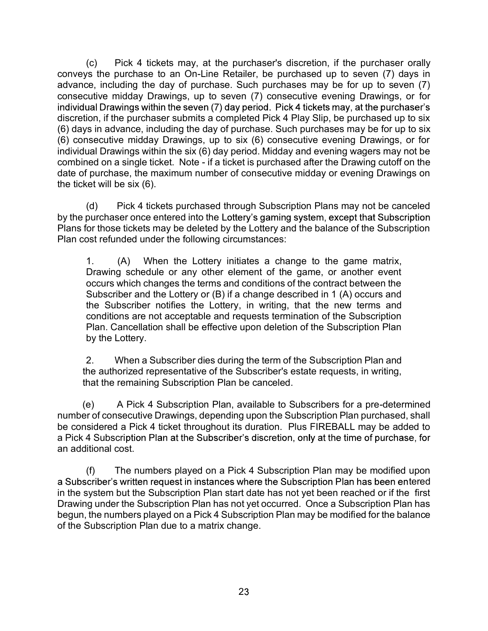(c) Pick 4 tickets may, at the purchaser's discretion, if the purchaser orally<br>vs the purchase to an On-Line Retailer, be purchased up to seven (7) days in<br>ce, including the day of purchase. Such purchases may be for up to conveys the purchase to an On-Line Retailer, be purchased up to seven (7) days in advance, including the day of purchase. Such purchases may be for up to seven (7) consecutive midday Drawings, up to seven (7) consecutive evening Drawings, or for discretion, if the purchaser submits a completed Pick 4 Play Slip, be purchased up to six (c)  $Pick 4$  tickets may, at the purchaser's discretion, if the purchaser orally conveys the purchase to an On-Line Retailer, be purchases may be for up to seven (7) days in advance, including the day of purchase. Such purc (c) Pick 4 tickets may, at the purchaser's discretion, if the purchaser orally conveys the purchase to an On-Line Retailer, be purchased up to seven (7) days in advance, including the day of purchase. Such purchases may b individual Drawings within the six (6) day period. Midday and evening wagers may not be (c) Pick 4 tickets may, at the purchaser's discretion, if the purchaser orally conveys the purchase to an On-Line Retailer, be purchased up to seven (7) days in a consecutive midday Drawings, up to seven (7) consecutive e date of purchase, the maximum number of consecutive midday or evening Drawings on the ticket will be six (6). (c) Pick 4 tickets may, at the purchaser's discretion, if the purchaser orally<br>
ore, including the day of purchase. Such purchased up to seven (7) days in<br>  $\sigma$ , including the day of purchase. Such purchases may be for up (c) Pick 4 tickets may, at the purchaser's discretion, if the purchaser orally<br>
or the purchase to an On-Line Retailer, be purchased up to seven (7) days in<br>
e.e, including the day of purchase. Such purchases may be for u

by the purchaser once entered into the Lottery's gaming system, except that Subscription Plans for those tickets may be deleted by the Lottery and the balance of the Subscription Plan cost refunded under the following circumstances:

Drawing schedule or any other element of the game, or another event occurs which changes the terms and conditions of the contract between the Subscriber and the Lottery or (B) if a change described in 1 (A) occurs and the Subscriber notifies the Lottery, in writing, that the new terms and conditions are not acceptable and requests termination of the Subscription Plan. Cancellation shall be effective upon deletion of the Subscription Plan by the Lottery. Deal on a single licket. Note - if a ticket is purchased after the Drawing sudd for the purchase, the maximum number of consecutive midday or evening Drawings on et will be six (6).<br>
Picket is purchased through Subscriptio (d) Pick 4 tickets purchased through Subscription Plans may not be canceled<br>purchaser once entered into the Lottery's gaming system, except that Subscription<br>for those tickets may be deleted by the Lottery and the balance (Fig. 1) The market between a dominions of the control manner of the same interacts which changes the ferms and conditions of the contract between the Subscriber and the Subscriber and the Subscriber and the Subscriber on

the authorized representative of the Subscriber's estate requests, in writing, that the remaining Subscription Plan be canceled.

number of consecutive Drawings, depending upon the Subscription Plan purchased, shall be considered a Pick 4 ticket throughout its duration. Plus FIREBALL may be added to a Pick 4 Subscription Plan at the Subscriber's discretion, only at the time of purchase, for an additional cost.

a Subscriber's written request in instances where the Subscription Plan has been entered in the system but the Subscription Plan start date has not yet been reached or if the first Drawing under the Subscription Plan has not yet occurred. Once a Subscription Plan has begun, the numbers played on a Pick 4 Subscription Plan may be modified for the balance of the Subscription Plan due to a matrix change.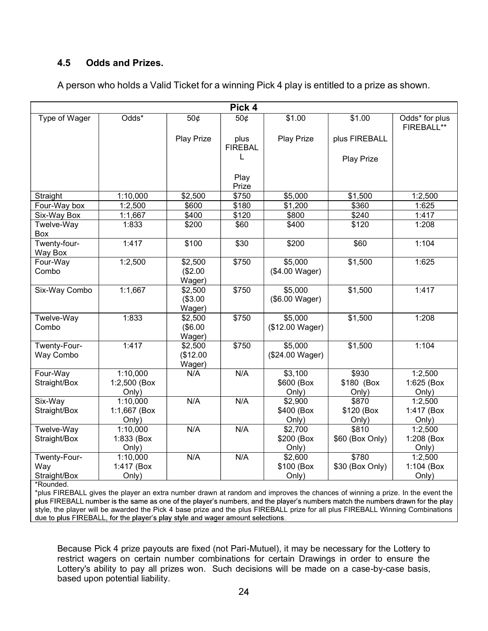#### 4.5 Odds and Prizes.

| Odds*<br>\$1.00<br>50¢<br>\$1.00<br>Odds* for plus<br>Type of Wager<br>50¢<br>FIREBALL**<br>Play Prize<br><b>Play Prize</b><br>plus FIREBALL<br>plus<br><b>FIREBAL</b><br><b>Play Prize</b><br>Play<br>Prize<br>\$750<br>1:2,500<br>Straight<br>1:10,000<br>\$2,500<br>\$5,000<br>\$1,500<br>\$600<br>\$180<br>\$360<br>Four-Way box<br>1:2,500<br>\$1,200<br>1:625<br>\$400<br>\$120<br>\$240<br>1:1,667<br>\$800<br>1:417<br>Six-Way Box<br>\$120<br>Twelve-Way<br>1:833<br>\$200<br>\$60<br>\$400<br>1:208<br>Box<br>1:104<br>Twenty-four-<br>1:417<br>\$100<br>\$30<br>\$200<br>\$60<br>Way Box<br>\$1,500<br>1:625<br>1:2,500<br>\$2,500<br>\$750<br>\$5,000<br>Four-Way<br>(\$2.00<br>Combo<br>(\$4.00 Wager)<br>Wager)<br>1:1,667<br>\$2,500<br>\$750<br>\$5,000<br>\$1,500<br>1:417<br>Six-Way Combo<br>(\$3.00<br>(\$6.00 Wager)<br>Wager)<br>1:833<br>\$5,000<br>\$1,500<br>1:208<br>Twelve-Way<br>\$2,500<br>\$750<br>(\$6.00<br>(\$12.00 Wager)<br>Combo<br>Wager)<br>1:417<br>\$1,500<br>1:104<br>Twenty-Four-<br>\$2,500<br>\$750<br>\$5,000 |
|------------------------------------------------------------------------------------------------------------------------------------------------------------------------------------------------------------------------------------------------------------------------------------------------------------------------------------------------------------------------------------------------------------------------------------------------------------------------------------------------------------------------------------------------------------------------------------------------------------------------------------------------------------------------------------------------------------------------------------------------------------------------------------------------------------------------------------------------------------------------------------------------------------------------------------------------------------------------------------------------------------------------------------------------------------|
|                                                                                                                                                                                                                                                                                                                                                                                                                                                                                                                                                                                                                                                                                                                                                                                                                                                                                                                                                                                                                                                            |
|                                                                                                                                                                                                                                                                                                                                                                                                                                                                                                                                                                                                                                                                                                                                                                                                                                                                                                                                                                                                                                                            |
|                                                                                                                                                                                                                                                                                                                                                                                                                                                                                                                                                                                                                                                                                                                                                                                                                                                                                                                                                                                                                                                            |
|                                                                                                                                                                                                                                                                                                                                                                                                                                                                                                                                                                                                                                                                                                                                                                                                                                                                                                                                                                                                                                                            |
|                                                                                                                                                                                                                                                                                                                                                                                                                                                                                                                                                                                                                                                                                                                                                                                                                                                                                                                                                                                                                                                            |
|                                                                                                                                                                                                                                                                                                                                                                                                                                                                                                                                                                                                                                                                                                                                                                                                                                                                                                                                                                                                                                                            |
|                                                                                                                                                                                                                                                                                                                                                                                                                                                                                                                                                                                                                                                                                                                                                                                                                                                                                                                                                                                                                                                            |
|                                                                                                                                                                                                                                                                                                                                                                                                                                                                                                                                                                                                                                                                                                                                                                                                                                                                                                                                                                                                                                                            |
|                                                                                                                                                                                                                                                                                                                                                                                                                                                                                                                                                                                                                                                                                                                                                                                                                                                                                                                                                                                                                                                            |
|                                                                                                                                                                                                                                                                                                                                                                                                                                                                                                                                                                                                                                                                                                                                                                                                                                                                                                                                                                                                                                                            |
|                                                                                                                                                                                                                                                                                                                                                                                                                                                                                                                                                                                                                                                                                                                                                                                                                                                                                                                                                                                                                                                            |
|                                                                                                                                                                                                                                                                                                                                                                                                                                                                                                                                                                                                                                                                                                                                                                                                                                                                                                                                                                                                                                                            |
| (\$12.00<br>(\$24.00 Wager)<br>Way Combo<br>Wager)                                                                                                                                                                                                                                                                                                                                                                                                                                                                                                                                                                                                                                                                                                                                                                                                                                                                                                                                                                                                         |
| Four-Way<br>1:10,000<br>\$930<br>1:2,500<br>N/A<br>N/A<br>\$3,100                                                                                                                                                                                                                                                                                                                                                                                                                                                                                                                                                                                                                                                                                                                                                                                                                                                                                                                                                                                          |
| \$600 (Box<br>\$180 (Box<br>1:625 (Box<br>Straight/Box<br>1:2,500 (Box                                                                                                                                                                                                                                                                                                                                                                                                                                                                                                                                                                                                                                                                                                                                                                                                                                                                                                                                                                                     |
| Only)<br>Only)<br>Only)<br>Only)                                                                                                                                                                                                                                                                                                                                                                                                                                                                                                                                                                                                                                                                                                                                                                                                                                                                                                                                                                                                                           |
| 1:10,000<br>N/A<br>N/A<br>\$2,900<br>\$870<br>1:2,500<br>Six-Way<br>1:1,667 (Box<br>\$400 (Box<br>\$120 (Box<br>Straight/Box<br>1:417 (Box<br>Only)<br>Only)<br>Only)<br>Only)                                                                                                                                                                                                                                                                                                                                                                                                                                                                                                                                                                                                                                                                                                                                                                                                                                                                             |
| N/A<br>N/A<br>\$810<br>Twelve-Way<br>1:10,000<br>\$2,700<br>1:2,500                                                                                                                                                                                                                                                                                                                                                                                                                                                                                                                                                                                                                                                                                                                                                                                                                                                                                                                                                                                        |
| 1:833 (Box<br>\$200 (Box<br>\$60 (Box Only)<br>1:208 (Box<br>Straight/Box                                                                                                                                                                                                                                                                                                                                                                                                                                                                                                                                                                                                                                                                                                                                                                                                                                                                                                                                                                                  |
| Only)<br>Only)<br>Only)                                                                                                                                                                                                                                                                                                                                                                                                                                                                                                                                                                                                                                                                                                                                                                                                                                                                                                                                                                                                                                    |
| 1:10,000<br>N/A<br>N/A<br>\$2,600<br>\$780<br>1:2,500<br>Twenty-Four-                                                                                                                                                                                                                                                                                                                                                                                                                                                                                                                                                                                                                                                                                                                                                                                                                                                                                                                                                                                      |
| 1:417 (Box<br>\$100 (Box<br>\$30 (Box Only)<br>1:104 (Box<br>Way                                                                                                                                                                                                                                                                                                                                                                                                                                                                                                                                                                                                                                                                                                                                                                                                                                                                                                                                                                                           |
| Straight/Box<br>Only)<br>Only)<br>Only)<br>*Rounded.                                                                                                                                                                                                                                                                                                                                                                                                                                                                                                                                                                                                                                                                                                                                                                                                                                                                                                                                                                                                       |
| *plus FIREBALL gives the player an extra number drawn at random and improves the chances of winning a prize. In the event the<br>plus FIREBALL number is the same as one of the player's numbers, and the player's numbers match the numbers drawn for the play<br>style, the player will be awarded the Pick 4 base prize and the plus FIREBALL prize for all plus FIREBALL Winning Combinations<br>due to plus FIREBALL, for the player's play style and wager amount selections.                                                                                                                                                                                                                                                                                                                                                                                                                                                                                                                                                                        |

A person who holds a Valid Ticket for a winning Pick 4 play is entitled to a prize as shown.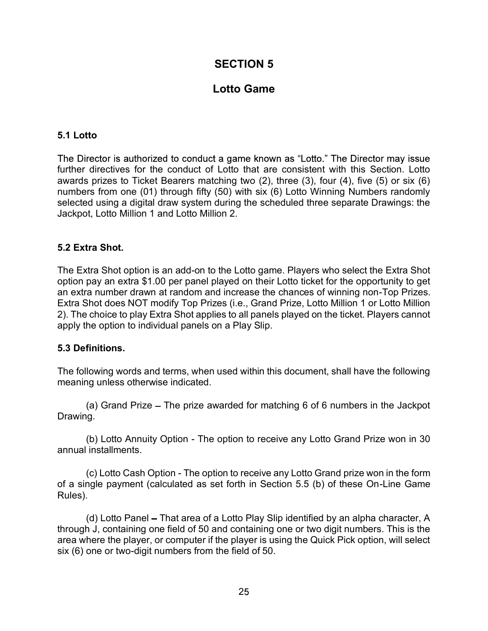## SECTION 5

# Lotto Game

#### 5.1 Lotto

further directives for the conduct of Lotto that are consistent with this Section. Lotto awards prizes to Ticket Bearers matching two (2), three (3), four (4), five (5) or six (6) numbers from one (01) through fifty (50) with six (6) Lotto Winning Numbers randomly selected using a digital draw system during the scheduled three separate Drawings: the Jackpot, Lotto Million 1 and Lotto Million 2. **5.1 Lotto**<br> **The Director is authorized to conduct a game known as "Lotto." The Director may issue<br>
further directives for the conduct of Lotto that are consistent with this Section. Lotto<br>
fuverards prizes to Ticket Bear** 5.1 Lotto<br>The Director is authorized to conduct a game known as "Lotto." The Di<br>further directives for the conduct of Lotto that are consistent with thi<br>awards prizes to Ticket Bearers matching two (2), three (3), four (4)

#### 5.2 Extra Shot.

The Extra Shot option is an add-on to the Lotto game. Players who select the Extra Shot option pay an extra \$1.00 per panel played on their Lotto ticket for the opportunity to get Extra Shot does NOT modify Top Prizes (i.e., Grand Prize, Lotto Million 1 or Lotto Million 2). The choice to play Extra Shot applies to all panels played on the ticket. Players cannot id using a digital draw system during the scheduled three separate Drawings: the<br>t, Lotto Million 1 and Lotto Million 2.<br> **tra Shot**,<br> **tra Shot**<br> **trand Price The prize aread-on to the Lotto game. Players who select the E** tra Shot.<br>
tra Shot option is an add-on to the Lotto game. Players who select the Extra Shot<br>
pay an extra \$1.00 per panel played on their Lotto ticket for the opportunity to get<br>
a number drawn at random and increase the tha Shot option is an add-on to the Lotto game. Players who select the Extra Shot pay an extra \$1.00 per panel played on their Lotto ticket for the opportunity to get a number drawn at random and increase the chances of wi

#### 5.3 Definitions.

The following words and terms, when used within this document, shall have the following meaning unless otherwise indicated.

Drawing.

annual installments.

of a single payment (calculated as set forth in Section 5.5 (b) of these On-Line Game Rules).

choice to play Extra Shot applies to all panels played on the ticket. Players cannot<br>
the option to individual panels on a Play Slip.<br> **finitions.**<br>
Iowing words and terms, when used within this document, shall have the fo through J, containing one field of 50 and containing one or two digit numbers. This is the area where the player, or computer if the player is using the Quick Pick option, will select six (6) one or two-digit numbers from the field of 50.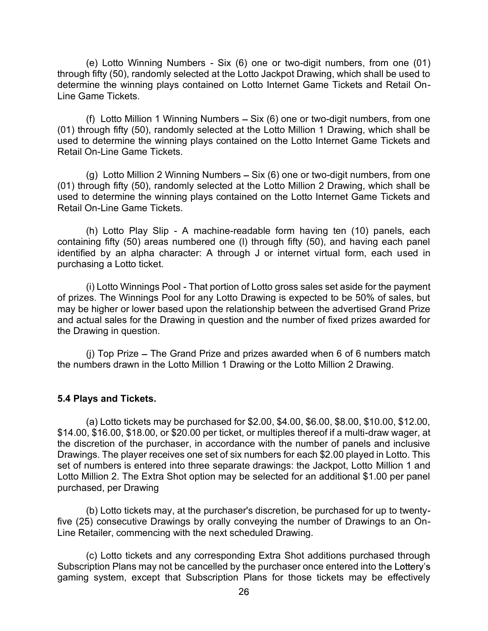(e) Lotto Winning Numbers - Six (6) one or two-digit numbers, from one (01)<br>h fifty (50), randomly selected at the Lotto Jackpot Drawing, which shall be used to<br>ine the winning plays contained on Lotto Internet Game Ticket through fifty (50), randomly selected at the Lotto Jackpot Drawing, which shall be used to determine the winning plays contained on Lotto Internet Game Tickets and Retail On-Line Game Tickets.

(e) Lotto Winning Numbers - Six (6) one or two-digit numbers, from one (01)<br>h fifty (50), randomly selected at the Lotto Jackpot Drawing, which shall be used to<br>line the winning plays contained on Lotto Internet Game Tick (e) Lotto Winning Numbers - Six (6) one or two-digit numbers, from one (01)<br>through fifty (50), randomly selected at the Lotto Jackpot Drawing, which shall be used to<br>determine the winning plays contained on Lotto Internet used to determine the winning plays contained on the Lotto Internet Game Tickets and Retail On-Line Game Tickets.

(e) Lotto Winning Numbers - Six (6) one or two-digit numbers, from one (01)<br>
fifty (50), randomly selected at the Lotto Jackpot Drawing, which shall be used to<br>
ine the winning plays contained on Lotto Internet Game Ticket (e) Lotto Winning Numbers - Six (6) one or two-digit numbers, from one (01)<br>through fifty (50), randomly selected at the Lotto Jackpot Drawing, which shall be used to<br>determine the winning plays contained on Lotto Internet used to determine the winning plays contained on the Lotto Internet Game Tickets and Retail On-Line Game Tickets.

(e) Lotto Winning Numbers - Six (6) one or two-digit numbers, from one (01)<br>h fifty (50), randomly selected at the Lotto Jackpot Drawing, which shall be used to<br>line the winning plays contained on Lotto Internet Game Ticke containing fifty (50) areas numbered one (l) through fifty (50), and having each panel identified by an alpha character: A through J or internet virtual form, each used in purchasing a Lotto ticket.

ine the winning plays contained on Lotto Internet Game Tickets and Retail On-<br>ame Tickets.<br>(f) Lotto Million 1 Winning Numbers – Six (6) one or two-digit numbers, from one<br>orough fifty (50), randomly selected at the Lotto of prizes. The Winnings Pool for any Lotto Drawing is expected to be 50% of sales, but may be higher or lower based upon the relationship between the advertised Grand Prize and actual sales for the Drawing in question and the number of fixed prizes awarded for the Drawing in question. On-Line Game Tickets.<br>
(g) Lotto Million 2 Winning Numbers – Six (6) one or two-digit numbers, from one<br>
rough fifty (50), randomly selected at the Lotto Million 2 Drawing, which shall be<br>
o determine the winning plays con (g) Lotto Million 2 Winning Numbers – Six (6) one or two-digit numbers, from one (01) through fifty (50), randomly selected at the Lotto Million 2 Drawing, which shall be used to determine the winning plays contained on t

#### 5.4 Plays and Tickets.

(h) Lotto Play Slip - A machine-readable form having ten (10) panels, each<br>uing fifty (50) areas numbered one (l) through fifty (50), and having each panel<br>ed by an alpha character: A through J or internet virtual form, e (h) Lotto Play Slip - A machine-readable form having ten (10) panels, each<br>containing fifty (50) areas numbered one (l) through fifty (50), and having each panel<br>identified by an alpha character: A through J or internet v the discretion of the purchaser, in accordance with the number of panels and inclusive Drawings. The player receives one set of six numbers for each \$2.00 played in Lotto. This set of numbers is entered into three separate drawings: the Jackpot, Lotto Million 1 and Lotto Million 2. The Extra Shot option may be selected for an additional \$1.00 per panel purchased, per Drawing be higher or lower based upon the relationship between the advertised Grand Prize<br>tual sales for the Drawing in question and the number of fixed prizes awarded for<br>awing in question.<br>(i) Top Prize – The Grand Prize and pri (i) Top Prize – The Grand Prize and prizes awarded when 6 of 6 numbers match<br>mbers drawn in the Lotto Million 1 Drawing or the Lotto Million 2 Drawing.<br> **yys and Tickets.**<br>
(a) Lotto tickets may be purchased for \$2.00, \$4

five (25) consecutive Drawings by orally conveying the number of Drawings to an On-Line Retailer, commencing with the next scheduled Drawing.

Subscription Plans may not be cancelled by the purchaser once entered into the Lottery's gaming system, except that Subscription Plans for those tickets may be effectively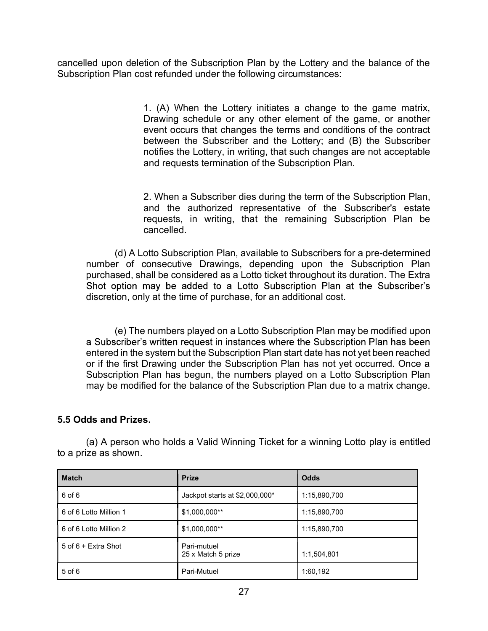cancelled upon deletion of the Subscription Plan by the Lottery and the balance of the Subscription Plan cost refunded under the following circumstances:

tion of the Subscription Plan by the Lottery and the balance of the<br>st refunded under the following circumstances:<br>1. (A) When the Lottery initiates a change to the game matrix,<br>Drawing schedule or any other element of the Drawing schedule or any other element of the game, or another event occurs that changes the terms and conditions of the contract between the Subscriber and the Lottery; and (B) the Subscriber notifies the Lottery, in writing, that such changes are not acceptable and requests termination of the Subscription Plan. tion of the Subscription Plan by the Lottery and the balance of the<br>st refunded under the following circumstances:<br>1. (A) When the Lottery initiates a change to the game matrix,<br>Drawing schedule or any other element of the on deletion of the Subscription Plan by the Lottery and the balance of the<br>Plan cost refunded under the following circumstances:<br>1. (A) When the Lottery initiates a change to the game, or another<br>event occurs that changes

and the authorized representative of the Subscriber's estate requests, in writing, that the remaining Subscription Plan be cancelled.

ied upon deletion of the Subscription Plan by the Lottery and the balance of the<br>piption Plan cost refunded under the following circumstances:<br>
1. (A) When the Lottery initiates a change to the game matrix,<br>
Drawing schedu purchased, shall be considered as a Lotto ticket throughout its duration. The Extra<br>Shot option may be added to a Lotto Subscription Plan at the Subscriber's discretion, only at the time of purchase, for an additional cost.

event occurs that changes the terms and conditions of the contract<br>between the Subscriber and the Lottery; and (B) the Subscriber<br>notifies the Lottery, in writing, that such changes are not acceptable<br>and requests terminat entered in the system but the Subscription Plan start date has not yet been reached or if the first Drawing under the Subscription Plan has not yet occurred. Once a Subscription Plan has begun, the numbers played on a Lotto Subscription Plan may be modified for the balance of the Subscription Plan due to a matrix change. (d) A Lotto Subscription Plan, available to Subscribers for a pre-determined<br>number of consecutive Drawings, depending upon the Subscription Plan<br>purchased, shall be considered as a Lotto ticket throughout its duration. T

#### 5.5 Odds and Prizes.

|                                               | (e) The numbers played on a Lotto Subscription Plan may be modified upon<br>a Subscriber's written request in instances where the Subscription Plan has been<br>entered in the system but the Subscription Plan start date has not yet been reached  |              |  |
|-----------------------------------------------|------------------------------------------------------------------------------------------------------------------------------------------------------------------------------------------------------------------------------------------------------|--------------|--|
|                                               | or if the first Drawing under the Subscription Plan has not yet occurred. Once a<br>Subscription Plan has begun, the numbers played on a Lotto Subscription Plan<br>may be modified for the balance of the Subscription Plan due to a matrix change. |              |  |
|                                               |                                                                                                                                                                                                                                                      |              |  |
| 5.5 Odds and Prizes.                          |                                                                                                                                                                                                                                                      |              |  |
| to a prize as shown.                          | (a) A person who holds a Valid Winning Ticket for a winning Lotto play is entitled                                                                                                                                                                   |              |  |
| <b>Match</b>                                  | <b>Prize</b>                                                                                                                                                                                                                                         | <b>Odds</b>  |  |
| 6 of 6                                        | Jackpot starts at \$2,000,000*                                                                                                                                                                                                                       | 1:15,890,700 |  |
| 6 of 6 Lotto Million 1                        | \$1.000.000**                                                                                                                                                                                                                                        | 1:15,890,700 |  |
|                                               | \$1,000,000**                                                                                                                                                                                                                                        | 1:15,890,700 |  |
| 6 of 6 Lotto Million 2<br>5 of 6 + Extra Shot | Pari-mutuel<br>25 x Match 5 prize                                                                                                                                                                                                                    | 1:1,504,801  |  |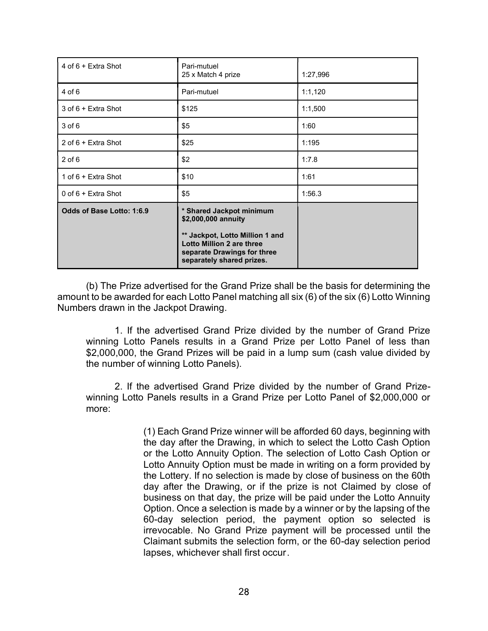| 4 of 6 + Extra Shot                   | Pari-mutuel<br>25 x Match 4 prize                                                                                                                                                                                                                           | 1:27,996 |
|---------------------------------------|-------------------------------------------------------------------------------------------------------------------------------------------------------------------------------------------------------------------------------------------------------------|----------|
| $4$ of 6                              | Pari-mutuel                                                                                                                                                                                                                                                 | 1:1,120  |
| 3 of 6 + Extra Shot                   | \$125                                                                                                                                                                                                                                                       | 1:1,500  |
| $3$ of $6$                            | \$5                                                                                                                                                                                                                                                         | 1:60     |
| 2 of 6 + Extra Shot                   | \$25                                                                                                                                                                                                                                                        | 1:195    |
| $2$ of $6$                            | \$2                                                                                                                                                                                                                                                         | 1:7.8    |
| 1 of 6 + Extra Shot                   | \$10                                                                                                                                                                                                                                                        | 1:61     |
| 0 of 6 + Extra Shot                   | \$5                                                                                                                                                                                                                                                         | 1:56.3   |
| Odds of Base Lotto: 1:6.9             | * Shared Jackpot minimum<br>\$2,000,000 annuity                                                                                                                                                                                                             |          |
|                                       | ** Jackpot, Lotto Million 1 and<br>Lotto Million 2 are three<br>separate Drawings for three<br>separately shared prizes.                                                                                                                                    |          |
| Numbers drawn in the Jackpot Drawing. | (b) The Prize advertised for the Grand Prize shall be the basis for determining the<br>amount to be awarded for each Lotto Panel matching all six (6) of the six (6) Lotto Winning<br>1. If the advertised Grand Prize divided by the number of Grand Prize |          |
| the number of winning Lotto Panels).  | winning Lotto Panels results in a Grand Prize per Lotto Panel of less than<br>\$2,000,000, the Grand Prizes will be paid in a lump sum (cash value divided by                                                                                               |          |
| more:                                 | 2. If the advertised Grand Prize divided by the number of Grand Prize-<br>winning Lotto Panels results in a Grand Prize per Lotto Panel of \$2,000,000 or                                                                                                   |          |
|                                       | (1) Each Grand Prize winner will be afforded 60 days, beginning with                                                                                                                                                                                        |          |

<sup>\*\*</sup> Jackpot, Lotto Million 1 and<br>
separate Drawings for three<br>
separate Drawings for three<br>
separated y shared prize shall be the basis for determining the<br>
ed for each Lotto Panel matching all six (6) of the six (6) Lott the day after the Drawing, in which to select the Lotto Cash Option or the Lotto Annuity Option. The selection of Lotto Cash Option or Lotto Annuity Option must be made in writing on a form provided by the Lottery. If no selection is made by close of business on the 60th advertised for the Grand Prize shall be the basis for determining the<br>dof or each Lotto Panel matching all six (6) of the six (6) Lotto Winning<br>e Jackpot Drawing.<br>Pales results in a Grand Prize per Lotto Panel of less than business on that day, the prize will be paid under the Lotto Annuity Option. Once a selection is made by a winner or by the lapsing of the 60-day selection period, the payment option so selected is irrevocable. No Grand Prize payment will be processed until the Claimant submits the selection form, or the 60-day selection period lapses, whichever shall first occur.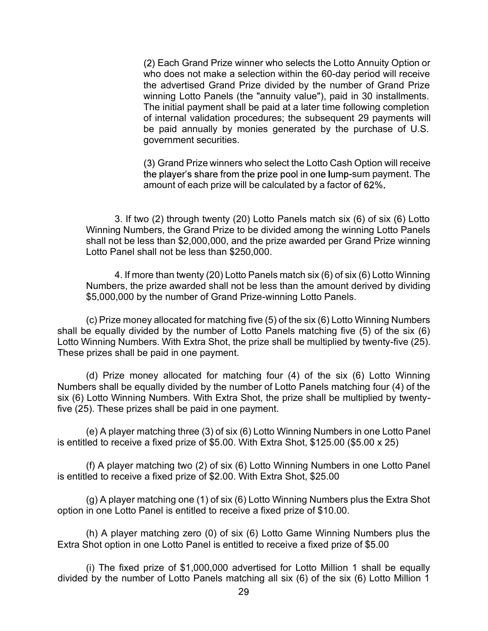Each Grand Prize winner who selects the Lotto Annuity Option or who does not make a selection within the 60-day period will receive the advertised Grand Prize divided by the number of Grand Prize winning Lotto Panels (the "annuity value"), paid in 30 installments. The initial payment shall be paid at a later time following completion of internal validation procedures; the subsequent 29 payments will be paid annually by monies generated by the purchase of U.S. government securities. (2) Each Grand Prize winner who selects the Lotto Annuity Option or<br>who does not make a selection within the 60-day period will receive<br>the advertised Grand Prize divided by the number of Grand Prize<br>winning Lotto Panels who does not make a selection within the 60-day period will receive<br>the advertised Grand Prize divided by the number of Grand Prize<br>winning Lotto Panels (the "annuity value"), paid in 30 installments.<br>The initial payment

Grand Prize winners who select the Lotto Cash Option will receive the player's share from the prize pool in one lump-sum payment. The amount of each prize will be calculated by a factor of 62%.

Winning Numbers, the Grand Prize to be divided among the winning Lotto Panels shall not be less than \$2,000,000, and the prize awarded per Grand Prize winning Lotto Panel shall not be less than \$250,000.

Numbers, the prize awarded shall not be less than the amount derived by dividing \$5,000,000 by the number of Grand Prize-winning Lotto Panels.

of internal validation procedures; the subsequent 29 payments will<br>be paid annually by monies generated by the purchase of U.S.<br>government securities.<br>(3) Grand Prize winners who select the Lotto Cash Option will receive<br>t shall be equally divided by the number of Lotto Panels matching five (5) of the six (6) Lotto Winning Numbers. With Extra Shot, the prize shall be multiplied by twenty-five (25). These prizes shall be paid in one payment.

the player's share from the prize pool in one lump-sum payment. The<br>amount of each prize will be calculated by a factor of 62%.<br>3. If two (2) through twenty (20) Lotto Panels match six (6) of six (6) Lotto<br>Winning Numbers, Numbers shall be equally divided by the number of Lotto Panels matching four (4) of the six (6) Lotto Winning Numbers. With Extra Shot, the prize shall be multiplied by twentyfive (25). These prizes shall be paid in one payment. Winning Numbers, the Grand Prize to be divided among the winning Lotto Panels<br>shall not be less than \$2,000,000, and the prize awarded per Grand Prize winning<br>Lotto Panel shall not be less than \$250,000.<br>4. If more than tw 4. If more than twenty (20) Lotto Panels match six (6) of six (6) Lotto Winning<br>Numbers, the prize awarded shall not be less than the amount derived by dividing<br>\$5,000,000 by the number of Grand Prize-winning Lotto Panels \$5,000,000 by the number of Grand Prize-winning Lotto Panels.<br>
(c) Prize money allocated for matching five (5) of the six (6) Lotto Winning Numbers<br>
e equally divided by the number of Lotto Panels matching five (5) of the e equally divided by the number of Lotto Panels matching five (5) of the six (6)<br>Winning Numbers. With Extra Shot, the prize shall be multiplied by twenty-five (25).<br>Prizes shall be paid in one payment.<br>(d) Prize money al (d) Prize money allocated for matching four (4) of the six (6) Lotto Winning<br>trs shall be equally divided by the number of Lotto Panels matching four (4) of the<br>Lotto Winning Numbers. With Extra Shot, the prize shall be m

is entitled to receive a fixed prize of \$5.00. With Extra Shot, \$125.00 (\$5.00 x 25)

is entitled to receive a fixed prize of \$2.00. With Extra Shot, \$25.00

option in one Lotto Panel is entitled to receive a fixed prize of \$10.00.

Extra Shot option in one Lotto Panel is entitled to receive a fixed prize of \$5.00

divided by the number of Lotto Panels matching all six (6) of the six (6) Lotto Million 1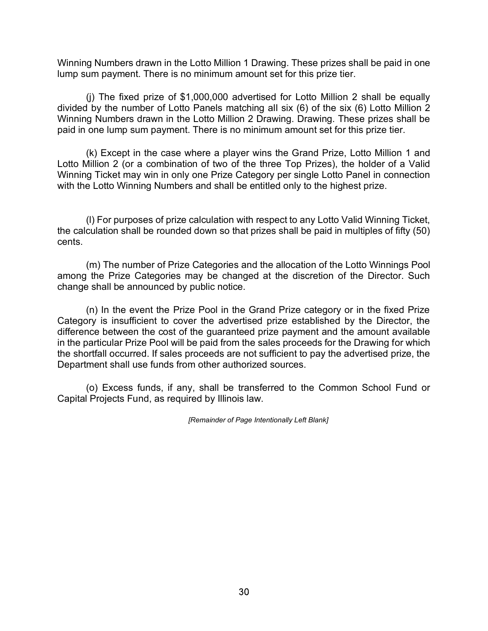Winning Numbers drawn in the Lotto Million 1 Drawing. These prizes shall be paid in one lump sum payment. There is no minimum amount set for this prize tier.

g Numbers drawn in the Lotto Million 1 Drawing. These prizes shall be paid in one<br>um payment. There is no minimum amount set for this prize tier.<br>(i) The fixed prize of \$1,000,000 advertised for Lotto Million 2 shall be eq divided by the number of Lotto Panels matching all six (6) of the six (6) Lotto Million 2 Winning Numbers drawn in the Lotto Million 2 Drawing. Drawing. These prizes shall be paid in one lump sum payment. There is no minimum amount set for this prize tier.

g Numbers drawn in the Lotto Million 1 Drawing. These prizes shall be paid in one<br>um payment. There is no minimum amount set for this prize tier.<br>(i) The fixed prize of \$1,000,000 advertised for Lotto Million 2 shall be eq Lotto Million 2 (or a combination of two of the three Top Prizes), the holder of a Valid Winning Ticket may win in only one Prize Category per single Lotto Panel in connection with the Lotto Winning Numbers and shall be entitled only to the highest prize. g Numbers drawn in the Lotto Million 1 Drawing. These prizes shall be paid in one<br>um payment. There is no minimum amount set for this prize tier.<br>(i) The fixed prize of \$1,000,000 advertised for Lotto Million 2 shall be eq g Numbers drawn in the Lotto Million 1 Drawing. These prizes shall be paid in one<br>um payment. There is no minimum amount set for this prize tier.<br>(i) The fixed prize of \$1,000,000 advertised for Lotto Million 2 shall be eq

the calculation shall be rounded down so that prizes shall be paid in multiples of fifty (50) cents.

among the Prize Categories may be changed at the discretion of the Director. Such change shall be announced by public notice.

(i) by the number of Lotto Panels matching all six (6) of the six (6) Lotto Million 2 g Numbers drawn in the Lotto Million 2 Drawing. Drawing. These prizes shall be one lump sum payment. There is no minimum amount set for Category is insufficient to cover the advertised prize established by the Director, the difference between the cost of the guaranteed prize payment and the amount available in the particular Prize Pool will be paid from the sales proceeds for the Drawing for which the shortfall occurred. If sales proceeds are not sufficient to pay the advertised prize, the Department shall use funds from other authorized sources. is Lotto Winning Numbers and shall be entitled only to the highest prize.<br>
(I) For purposes of prize calculation with respect to any Lotto Valid Winning Ticket,<br>
culation shall be rounded down so that prizes shall be paid

Capital Projects Fund, as required by Illinois law.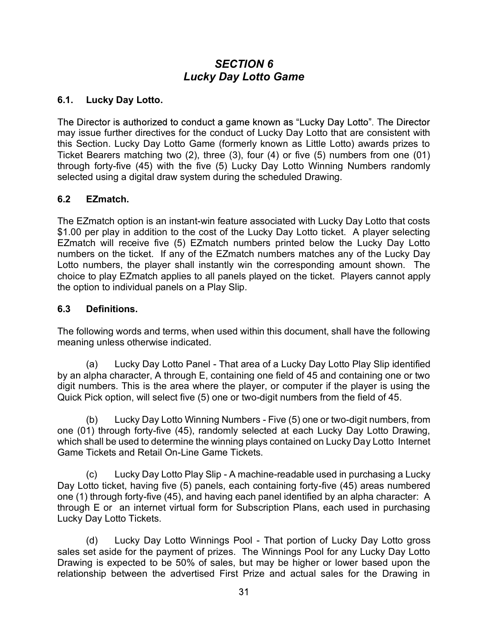# SECTION 6 Lucky Day Lotto Game

#### 6.1. Lucky Day Lotto.

may issue further directives for the conduct of Lucky Day Lotto that are consistent with this Section. Lucky Day Lotto Game (formerly known as Little Lotto) awards prizes to Ticket Bearers matching two (2), three (3), four (4) or five (5) numbers from one (01) through forty-five (45) with the five (5) Lucky Day Lotto Winning Numbers randomly selected using a digital draw system during the scheduled Drawing. **SECTION 6**<br> **ELOCATE ACTES AND LATE CONDUCT ASSOCIATE CONDUCT THE Director**<br>
The Director is authorized to conduct a game known as "Lucky Day Lotto". The Director<br>
may issue further directives for the conduct of Lucky Da

#### 6.2 EZmatch.

\$1.00 per play in addition to the cost of the Lucky Day Lotto ticket. A player selecting EZmatch will receive five (5) EZmatch numbers printed below the Lucky Day Lotto numbers on the ticket. If any of the EZmatch numbers matches any of the Lucky Day **SECTION 6**<br> **Lucky Day Lotto.**<br>
The Director is authorized to conduct a game known as "Lucky Day Lotto". The Director<br>
may issue further directives for the conduct of Lucky Day Lotto that are consistent with<br>
this Sectio **Example 1. Comparison Constant Constant Constant Constant Constant Constant Constant Constant Constant Applies to the conduct a game known as "Lucky Day Lotto". The Director may issue further directives for the conduct 6.1.** Lucky Day Lotto.<br>The Director is authorized to conduct a game known as "Lucky Day Lott<br>may issue further directives for the conduct of Lucky Day Lotto that are<br>this Section. Lucky Day Lotto Game (formerly known as beaters matching words, and terms, when used within this document, shall have the following a digital draw system during the scheduled Drawing.<br> **EZmatch.**<br> **EZmatch**,<br> **EZmatch**, and the five (5) Lucky Day Lotto Winning N 6.2 Ezmatch.<br>The Ezmatch option is an instant-win feature associated with Lucky Day Lotto that costs<br>\$1.00 per play in addition to the cost of the Lucky Day Lotto ticket. A player selecting<br>Ezmatch will receive five (5) Ez Ematch option is an instant-win feature associated with Lucky Day Lotto that costs<br>per play in addition to the cost of the Lucky Day Lotto ticket. A player selecting<br>the Will receive five (5) EZmatch numbers printed below

#### 6.3 Definitions.

The following words and terms, when used within this document, shall have the following meaning unless otherwise indicated.

by an alpha character, A through E, containing one field of 45 and containing one or two digit numbers. This is the area where the player, or computer if the player is using the

one (01) through forty-five (45), randomly selected at each Lucky Day Lotto Drawing, which shall be used to determine the winning plays contained on Lucky Day Lotto Internet Game Tickets and Retail On-Line Game Tickets.

(c) Lucky Day Lotto Winning Numbers - Five (5) one or two-digit numes on the following words and terms, when used within this document, shall have the following words and terms, when used within this document, shall have t Day Lotto ticket, having five (5) panels, each containing forty-five (45) areas numbered **6.3 Definitions.**<br> **6.3 Definitions**<br> **6.3 Definitions**<br> **Fine following words and terms**, when used within this document, shall have the following<br>
meaning unless otherwise indicated.<br>
(a) Lucky Day Lotto Panel - That ar through E or an internet virtual form for Subscription Plans, each used in purchasing Lucky Day Lotto Tickets. by unless otherwise indicated.<br>
(a) Lucky Day Lotto Panel - That area of a Lucky Day Lotto Play Slip identified<br>
alpha character, A through E, containing one field of 45 and containing one or two<br>
members. This is the area shall meaning unics set as the material.<br>
(a) Lucky Day Lotto Piay Slip identified<br>
by an alpha character, A through E, containing one field of 45 and containing one or two<br>
digit numbers. This is the area where the player

Drawing is expected to be 50% of sales, but may be higher or lower based upon the relationship between the advertised First Prize and actual sales for the Drawing in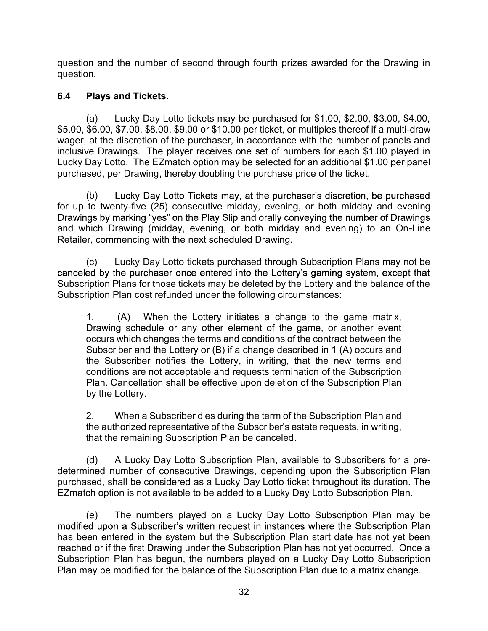question and the number of second through fourth prizes awarded for the Drawing in question.

#### 6.4 Plays and Tickets.

on and the number of second through fourth prizes awarded for the Drawing in<br>
Plays and Tickets.<br>
(a) Lucky Day Lotto tickets may be purchased for \$1.00, \$2.00, \$3.00, \$4.00,<br>
\$6.00, \$7.00, \$8.00, \$9.00 or \$10.00 per ticke \$5.00, \$6.00, \$7.00, \$8.00, \$9.00 or \$10.00 per ticket, or multiples thereof if a multi-draw wager, at the discretion of the purchaser, in accordance with the number of panels and question and the number of second through fourth prizes awarded for the Drawing in<br>question.<br>6.4 Plays and Tickets.<br>(a) Lucky Day Lotto tickets may be purchased for \$1.00, \$2.00, \$3.00, \$4.00,<br>\$5.00, \$6.00, \$7.00, \$8.00, \$ Lucky Day Lotto. The EZmatch option may be selected for an additional \$1.00 per panel purchased, per Drawing, thereby doubling the purchase price of the ticket. on and the number of second through fourth prizes awarded for the Drawing in<br>
Plays and Tickets.<br>
(a) Lucky Day Lotto tickets may be purchased for \$1.00, \$2.00, \$3.00, \$4.00,<br>
\$6.00, \$7.00, \$8.00, \$9.00 or \$10.00 per tick 6.4 Plays and Tickets.<br>
(a) Lucky Day Lotto tickets may be purchased for \$1.00, \$2.00, \$3.00, \$4<br>
\$5.00, \$6.00, \$7.00, \$8.00, \$9.00 or \$10.00 per ticket, or multiples thereof if a multi-d<br>
wager, at the discretion of the (a) Lucky Day Lotto tickets may be purchased for \$1.00, \$2.00, \$3.00, \$4.00, \$6.00, \$7.00, \$8.00, \$9.00 or \$10.00 per ticket, or multiples thereof if a multi-draw at the discretion of the purchaser, in accordance with the

(b) Lucky Day Lotto Tickets may, at the purchaser's discretion, be purchased for up to twenty-five (25) consecutive midday, evening, or both midday and evening and which Drawing (midday, evening, or both midday and evening) to an On-Line Retailer, commencing with the next scheduled Drawing.

Subscription Plans for those tickets may be deleted by the Lottery and the balance of the<br>Subscription Plan cost refunded under the following circumstances:

Drawing schedule or any other element of the game, or another event occurs which changes the terms and conditions of the contract between the Subscriber and the Lottery or (B) if a change described in 1 (A) occurs and the Subscriber notifies the Lottery, in writing, that the new terms and conditions are not acceptable and requests termination of the Subscription Sear, per Drawing, inetery doctoming the purchase pince of the lacter.<br>
(b) Lucky Day Loth Tickets may, at the purchaser's discretion, be purchased<br>
(b) wently-five (25) consecutive midday, evening, or both midday and even by the Lottery. or worreline to the Houstandary, evening, or both mixtage and occurrelines by marking "yes" on the Play Slip and orally conveying the number of Drawings<br>thich Drawing (midday, evening, or both midday and evening) to an On-(c) Lucky Day Lotto tickets purchased through Subscription Plans may not be<br>
ded by the purchaser once entered into the Lottery's gaming system, except that<br>
iption Plan, sort refunded under the following circumstances:<br> Subscription Plan cot we to the determined under the following circumstances:<br>
1. (A) When the Lottery initiates a change to the game matrix,<br>
Drawing schedule or any other element of the game, or another event<br>
cocurs whi 1. (A) When the Lottery initiates a change to the game matrix,<br>Drawing schedule or any other element of the game, or a norther event<br>Cocurs which changes the terms and conditions of the contract between the<br>Subscriber and

the authorized representative of the Subscriber's estate requests, in writing, that the remaining Subscription Plan be canceled.

determined number of consecutive Drawings, depending upon the Subscription Plan purchased, shall be considered as a Lucky Day Lotto ticket throughout its duration. The EZmatch option is not available to be added to a Lucky Day Lotto Subscription Plan.

modified upon a Subscriber's written request in instances where the Subscription Plan has been entered in the system but the Subscription Plan start date has not yet been reached or if the first Drawing under the Subscription Plan has not yet occurred. Once a Subscription Plan has begun, the numbers played on a Lucky Day Lotto Subscription Plan may be modified for the balance of the Subscription Plan due to a matrix change.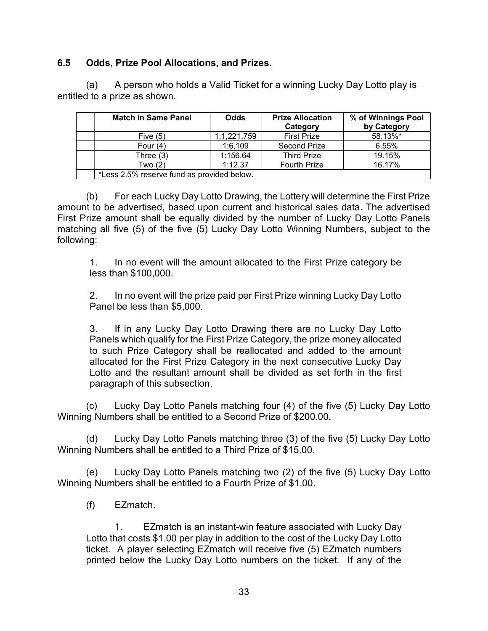#### 6.5 Odds, Prize Pool Allocations, and Prizes.

| A person who holds a Valid Ticket for a winning Lucky Day Lotto play is |  |  |  |
|-------------------------------------------------------------------------|--|--|--|
| entitled to a prize as shown.                                           |  |  |  |

|       | led to a prize as shown.                                                                                                                                                                                                                                                                                                                  |             |                                | A person who holds a Valid Ticket for a winning Lucky Day Lotto play is |
|-------|-------------------------------------------------------------------------------------------------------------------------------------------------------------------------------------------------------------------------------------------------------------------------------------------------------------------------------------------|-------------|--------------------------------|-------------------------------------------------------------------------|
|       |                                                                                                                                                                                                                                                                                                                                           |             |                                |                                                                         |
|       | <b>Match in Same Panel</b>                                                                                                                                                                                                                                                                                                                | <b>Odds</b> | <b>Prize Allocation</b>        | % of Winnings Pool                                                      |
|       | Five $(5)$                                                                                                                                                                                                                                                                                                                                | 1:1,221,759 | Category<br><b>First Prize</b> | by Category<br>58.13%*                                                  |
|       | Four $(4)$                                                                                                                                                                                                                                                                                                                                | 1:6,109     | Second Prize                   | 6.55%                                                                   |
|       | Three $(3)$                                                                                                                                                                                                                                                                                                                               | 1:156.64    | <b>Third Prize</b>             | 19.15%                                                                  |
|       | Two $(2)$                                                                                                                                                                                                                                                                                                                                 | 1:12.37     | <b>Fourth Prize</b>            | 16.17%                                                                  |
|       | *Less 2.5% reserve fund as provided below.                                                                                                                                                                                                                                                                                                |             |                                |                                                                         |
| (b)   | For each Lucky Day Lotto Drawing, the Lottery will determine the First Prize<br>unt to be advertised, based upon current and historical sales data. The advertised<br>Prize amount shall be equally divided by the number of Lucky Day Lotto Panels<br>ching all five (5) of the five (5) Lucky Day Lotto Winning Numbers, subject to the |             |                                |                                                                         |
| wing: |                                                                                                                                                                                                                                                                                                                                           |             |                                |                                                                         |

amount to be advertised, based upon current and historical sales data. The advertised First Prize amount shall be equally divided by the number of Lucky Day Lotto Panels matching all five (5) of the five (5) Lucky Day Lotto Winning Numbers, subject to the following:

Panels which qualify for the First Prize Category, the prize money allocated to such Prize Category shall be reallocated and added to the amount allocated for the First Prize Category in the next consecutive Lucky Day Lotto and the resultant amount shall be divided as set forth in the first paragraph of this subsection. (c) Conserver the First Prize Category in the next conserver that the five developed all five (5) of the five (5) Lucky Day Lotto Winning Numbers, subject to the fige all five (5) of the five (5) Lucky Day Lotto Winning N (g) and the move (c) Lacky Day Lotto Will the First Prize category be less than \$100,000.<br>
2. In no event will the prize paid per First Prize winning Lucky Day Lotto<br>
Panel be less than \$5,000.<br>
3. If in any Lucky Day Lott Fig. 1. In the content will the prize paid per First Prize winning Lucky Day Lotto<br>
Panel be less than \$5,000.<br>
3. If in any Lucky Day Lotto Drawing there are no Lucky Day Lotto<br>
Panels which qualify for the First Prize C Endification and principle parallel less than \$5,000.<br>
Then the less than \$5,000.<br>
3. If in any Lucky Day Lotto Drawing there are no Lucky Day<br>
Panels which qualify for the First Prize Category, the prize money all<br>
to suc If in any Lucky Day Lotto Drawing there are no Lucky Day Lotto<br>swhich qualify for the First Prize Category, the prize money allocated<br>the Trize Category shall be rellocated and added to the amount<br>ted for the First Prize

Winning Numbers shall be entitled to a Second Prize of \$200.00.

Winning Numbers shall be entitled to a Third Prize of \$15.00.

Winning Numbers shall be entitled to a Fourth Prize of \$1.00.

Lotto that costs \$1.00 per play in addition to the cost of the Lucky Day Lotto ticket. A player selecting EZmatch will receive five (5) EZmatch numbers printed below the Lucky Day Lotto numbers on the ticket. If any of the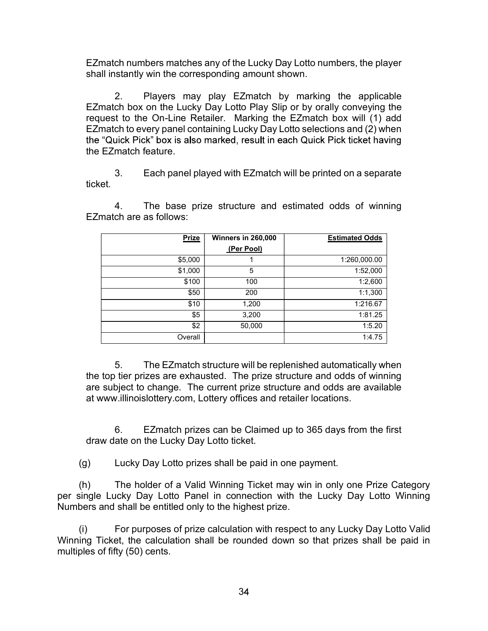EZmatch numbers matches any of the Lucky Day Lotto numbers, the player<br>shall instantly win the corresponding amount shown.<br>2. Players may play EZmatch by marking the applicable<br>EZmatch box on the Lucky Day Lotto Play Slip ch numbers matches any of the Lucky Day Lotto numbers, the player<br>stantly win the corresponding amount shown.<br>2. Players may play EZmatch by marking the applicable<br>ch box on the Lucky Day Lotto Play Slip or by orally conve EZmatch box on the Lucky Day Lotto Play Slip or by orally conveying the request to the On-Line Retailer. Marking the EZmatch box will (1) add EZmatch to every panel containing Lucky Day Lotto selections and (2) when the EZmatch feature. ch numbers matches any of the Lucky Day Lotto numbers, the player<br>stantly win the corresponding amount shown.<br>2. Players may play EZmatch by marking the applicable<br>th box on the Lucky Day Lotto Play Slip or by orally conv 6. The base prize structure and estimated odds of winning the applicable<br>
4. The base prize structure and prize structure and the base of the base of the base prize structure and the base prize to the On-Line Retailer. Ma

| 2.<br>EZmatch box on the Lucky Day Lotto Play Slip or by orally conveying the                                                                                                                                                                    |                    | Players may play EZmatch by marking the applicable                      |
|--------------------------------------------------------------------------------------------------------------------------------------------------------------------------------------------------------------------------------------------------|--------------------|-------------------------------------------------------------------------|
| request to the On-Line Retailer. Marking the EZmatch box will (1) add                                                                                                                                                                            |                    |                                                                         |
| EZmatch to every panel containing Lucky Day Lotto selections and (2) when                                                                                                                                                                        |                    |                                                                         |
| the "Quick Pick" box is also marked, result in each Quick Pick ticket having                                                                                                                                                                     |                    |                                                                         |
| the EZmatch feature.                                                                                                                                                                                                                             |                    |                                                                         |
| 3.                                                                                                                                                                                                                                               |                    |                                                                         |
| ticket.                                                                                                                                                                                                                                          |                    | Each panel played with EZmatch will be printed on a separate            |
|                                                                                                                                                                                                                                                  |                    |                                                                         |
| 4.                                                                                                                                                                                                                                               |                    | The base prize structure and estimated odds of winning                  |
| EZmatch are as follows:                                                                                                                                                                                                                          |                    |                                                                         |
|                                                                                                                                                                                                                                                  |                    |                                                                         |
| <b>Prize</b>                                                                                                                                                                                                                                     | Winners in 260,000 | <b>Estimated Odds</b>                                                   |
|                                                                                                                                                                                                                                                  | (Per Pool)         |                                                                         |
| \$5,000                                                                                                                                                                                                                                          | 1                  | 1:260,000.00                                                            |
| \$1,000                                                                                                                                                                                                                                          | 5                  | 1:52,000                                                                |
| \$100                                                                                                                                                                                                                                            | 100                | 1:2,600                                                                 |
| \$50                                                                                                                                                                                                                                             | 200                | 1:1,300                                                                 |
| \$10                                                                                                                                                                                                                                             | 1,200              | 1:216.67                                                                |
| \$5<br>$\sqrt{$2$}$                                                                                                                                                                                                                              | 3,200<br>50,000    | 1:81.25<br>1:5.20                                                       |
|                                                                                                                                                                                                                                                  |                    |                                                                         |
| Overall                                                                                                                                                                                                                                          |                    | 1:4.75                                                                  |
| 5 <sub>1</sub><br>the top tier prizes are exhausted. The prize structure and odds of winning<br>are subject to change. The current prize structure and odds are available<br>at www.illinoislottery.com, Lottery offices and retailer locations. |                    | The EZmatch structure will be replenished automatically when            |
| 6.<br>draw date on the Lucky Day Lotto ticket.                                                                                                                                                                                                   |                    | EZmatch prizes can be Claimed up to 365 days from the first             |
| Lucky Day Lotto prizes shall be paid in one payment.<br>(g)                                                                                                                                                                                      |                    |                                                                         |
|                                                                                                                                                                                                                                                  |                    | The holder of a Valid Winning Ticket may win in only one Prize Category |

the top tier prizes are exhausted. The prize structure and odds of winning are subject to change. The current prize structure and odds are available at www.illinoislottery.com, Lottery offices and retailer locations. (i) For purposes are schouted of prize that in the prize server of fits of prize server and only are subject to change. The current prize structure and odds are available at www.illinoislottery.com, Lottery offices and re

Winning Ticket, the calculation shall be rounded down so that prizes shall be paid in multiples of fifty (50) cents.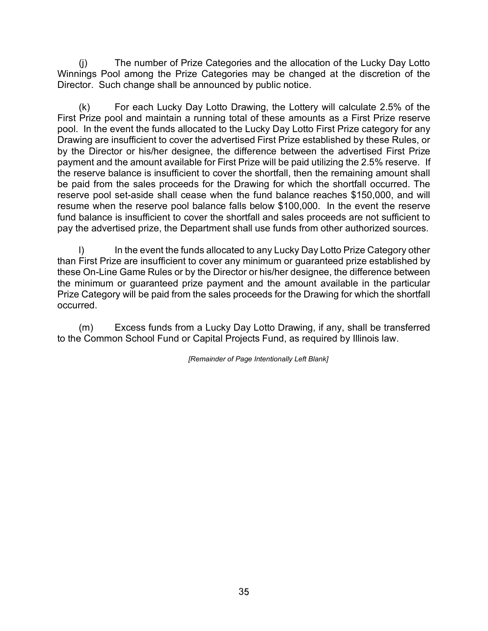(j) The number of Prize Categories and the allocation of the Lucky Day Lotto<br>ings Pool among the Prize Categories may be changed at the discretion of the<br>tor. Such change shall be announced by public notice.<br>(k) For each L Winnings Pool among the Prize Categories may be changed at the discretion of the

(j) The number of Prize Categories and the allocation of the Luck<br>Winnings Pool among the Prize Categories may be changed at the discreenced by public notice.<br>Director. Such change shall be announced by public notice.<br>(k) (j) The number of Prize Categories and the allocation of the Lucky Day Lotto ings Pool among the Prize Categories may be changed at the discretion of the tor. Such change shall be announced by public notice.<br>
(k) For each First Prize pool and maintain a running total of these amounts as a First Prize reserve (j) The number of Prize Categories and the allocation of the Lucky Day Lotto<br>Winnings Pool among the Prize Categories may be changed at the discretion of the<br>Director. Such change shall be announced by public notice.<br>(k) Drawing are insufficient to cover the advertised First Prize established by these Rules, or by the Director or his/her designee, the difference between the advertised First Prize (i) The number of Prize Categories and the allocation of the Lucky Day Lotto<br>Winnings Pool among the Prize Categories may be changed at the discretion of the<br>Director. Such change shall be announced by public notice.<br>(k) the reserve balance is insufficient to cover the shortfall, then the remaining amount shall be paid from the sales proceeds for the Drawing for which the shortfall occurred. The reserve pool set-aside shall cease when the fund balance reaches \$150,000, and will (j) The number of Prize Categories and the allocation of the Lucky Day Lotto<br>Winnings Pool among the Prize Categories may be changed at the discretion of the<br>Director. Such change shall be announced by public notice.<br>
(k) (j) The number of Prize Categories and the allocation of the Lucky Day Lotto<br>Winnings Pool among the Prize Categories may be changed at the discretion of the<br>Director. Such change shall be announced by public notice.<br>(k) pay the advertised prize, the Department shall use funds from other authorized sources. (j) The number of Prize Categories and the allocation of the Lucky Day Lotto<br>ings Pool among the Prize Categories may be changed at the discretion of the<br>tor. Such change shall be announced by public notice.<br>(k) For each L The poor and manner is chromagy bustic to these amounts as a first critic the sent the funds allocated to the Lucky Day Lotto First Prize category for any imp are insufficient to cover the advertised First Prize establish gnee, the direfence between the advertised First Prize inference between the advertised First to cover the shortfall, then the remaining amount shall ds for the Drawing for which the shortfall occurred. The has when the fu

than First Prize are insufficient to cover any minimum or guaranteed prize established by these On-Line Game Rules or by the Director or his/her designee, the difference between the minimum or guaranteed prize payment and the amount available in the particular Prize Category will be paid from the sales proceeds for the Drawing for which the shortfall occurred.

to the Common School Fund or Capital Projects Fund, as required by Illinois law.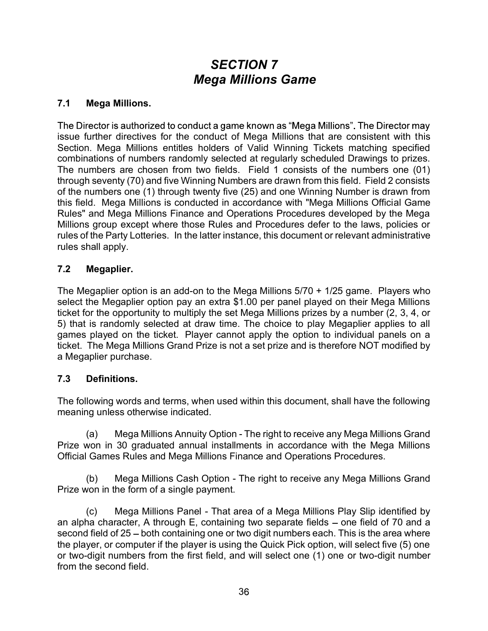# SECTION 7 Mega Millions Game

#### 7.1 Mega Millions.

issue further directives for the conduct of Mega Millions that are consistent with this Section. Mega Millions entitles holders of Valid Winning Tickets matching specified combinations of numbers randomly selected at regularly scheduled Drawings to prizes. The numbers are chosen from two fields. Field 1 consists of the numbers one (01) through seventy (70) and five Winning Numbers are drawn from this field. Field 2 consists of the numbers one (1) through twenty five (25) and one Winning Number is drawn from **SECTION 7**<br>**Mega Millions.**<br>The Director is authorized to conduct a game known as "Mega Millions". The Director may<br>issue further directives for the conduct of Mega Millions that are consistent with this<br>Section. Mega Mil Rules" and Mega Millions Finance and Operations Procedures developed by the Mega Millions group except where those Rules and Procedures defer to the laws, policies or **SECTION 7**<br>**Mega Millions.**<br>The Director is authorized to conduct a game known as "Mega Millions". The Director may<br>issue further directives for the conduct of Mega Millions that are consistent with this<br>Section. Mega Mil rules shall apply. T.1 Mega Millions.<br>The Director is authorized to conduct a game known as "Mega Millions". The Director may<br>issue further directives for the conduct of Mega Millions that are consistent with this<br>Section. Mega Millions ent The Director is authorized to conduct a game known as "Mega Millions". The Director may<br>
Section. Mega Millions entitles holders of Valid Winning Tickets matching specified<br>
combinations of numbers randomly selected at reg The Direction's administed to control a game munitive street and the ticket. The Direction Theorem and the Section. Mega Millions that are consistent with this Section. Mega Millions entitles holders of Valid Winning Trick

#### 7.2 Megaplier.

select the Megaplier option pay an extra \$1.00 per panel played on their Mega Millions ticket for the opportunity to multiply the set Mega Millions prizes by a number (2, 3, 4, or ticket. The Mega Millions Grand Prize is not a set prize and is therefore NOT modified by a Megaplier purchase. by except which under the latter instance, this document or relevant administrative the Party Lotteries. In the latter instance, this document or relevant administrative hall apply.<br> **Megaplier** option is an add-on to the Interpretiction is an add-on to the Mega Millions 5/70 + 1/25 game. Players who<br>the Megaplier option pay an extra \$1.00 per panel played on their Mega Millions<br>or the opportunity to multiply the set Mega Millions prizes by For the opportunity to multiply the set Mega Millions prizes by a number (2, 3, 4, or<br>is randomly selected at draw time. The choice to play Megapliner applies to all<br>played on the ticket. Player cannot apply the option to

#### 7.3 Definitions.

The following words and terms, when used within this document, shall have the following meaning unless otherwise indicated.

Prize won in 30 graduated annual installments in accordance with the Mega Millions Official Games Rules and Mega Millions Finance and Operations Procedures.

Prize won in the form of a single payment.

an alpha character, A through E, containing two separate fields  $-$  one field of 70 and a second field of 25 – both containing one or two digit numbers each. This is the area where the player, or computer if the player is using the Quick Pick option, will select five (5) one or two-digit numbers from the first field, and will select one (1) one or two-digit number from the second field.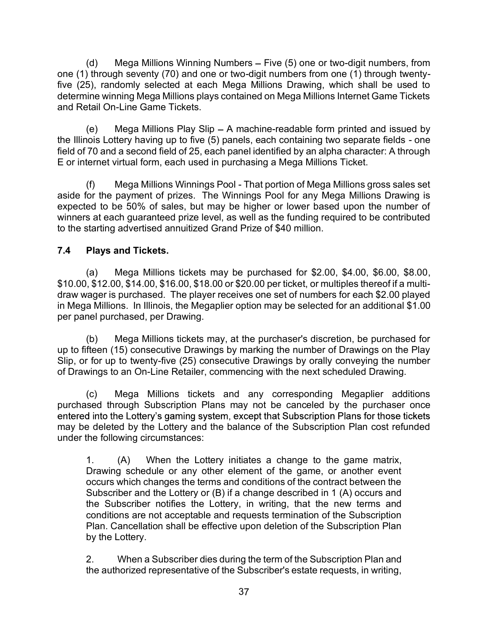(d) Mega Millions Winning Numbers – Five (5) one or two-digit numbers, from<br>) through seventy (70) and one or two-digit numbers from one (1) through twenty-<br>5), randomly selected at each Mega Millions Drawing, which shall one (1) through seventy (70) and one or two-digit numbers from one (1) through twenty-<br>five (25), randomly selected at each Mega Millions Drawing, which shall be used to (d) Mega Millions Winning Numbers – Five (5) one or two-digit numbers, from<br>one (1) through seventy (70) and one or two-digit numbers from one (1) through twenty-<br>five (25), randomly selected at each Mega Millions Drawing determine winning Mega Millions plays contained on Mega Millions Internet Game Tickets and Retail On-Line Game Tickets. (d) Mega Millions Winning Numbers – Five (5) one or two-digit numbers, from<br>
through seventy (70) and one or two-digit numbers from one (1) through twenty-<br>
5), randomly selected at each Mega Millions Drawing, which shall (d) Mega Millions Winning Numbers – Five (5) one or two-digit numbers, from<br>one (1) through seventy (70) and one or two-digit numbers from one (1) through twenty-<br>five (25), randomly selected at each Mega Millions Drawing

field of 70 and a second field of 25, each panel identified by an alpha character: A through E or internet virtual form, each used in purchasing a Mega Millions Ticket.

(d) Mega Millions Winning Numbers – Five (5) one or two-digit numbers, from<br>
(through seventy (70) and one or two-digit numbers from one (1) through twenty-<br>
5), randomly selected at each Mega Millions Drawing, which shal (d) Mega Millions Winning Numbers – Five (5) one or two-digit numbers, from<br>one (1) through sevently (70) and one or two-digit numbers from one (1) through twenty-<br>five (25), randomly selected at each Mega Millions Drawing expected to be 50% of sales, but may be higher or lower based upon the number of winners at each guaranteed prize level, as well as the funding required to be contributed to the starting advertised annuitized Grand Prize of \$40 million.

## 7.4 Plays and Tickets.

(a)<br>
history wealthing the model of the purchased for the control of the purchased for the state of the purchased at each Mega Millions Drawing, which shall be used to<br>
bit purchased at each Mega Millions Drawing, which sh once (in unceral resolutions Drawing in the USS), randomly selected at each Mega Millions Drawing, which shall be used to determine winning Mega Millions plays contained on Mega Millions Internet Game Tickets and Retail On draw wager is purchased. The player receives one set of numbers for each \$2.00 played in Mega Millions. In Illinois, the Megaplier option may be selected for an additional \$1.00 per panel purchased, per Drawing. (b) wega willions tickets may, at the purchased for purchased to the purchase of the purchase of the purchase is the purchase of the payeral fields - one 70 and a second field of 25, each panel identified by an alpha chara (c)<br>
Wega Millions viewingly bout the balance of the payment of prizes. The Winnings Pool for any Mega Millions Drawing is<br>
and to be 50% of sales, but may be higher or lower based upon the number of<br>
state and gradieral p expected to be 50% of sales, but may so to rary way we all about the number of<br>expected to be 50% of sales, but may be higher or lower based upon the number of<br>twinners at each guaranteed prize level, as well as the fundin 1. (a) Mega Millions tickets may be purchased for \$2.00, \$4.00, \$6.00, \$8.00, 4.20.0, \$4.4.00, \$14.00, \$14.00, \$16.00, \$16.00, \$18.00 or \$20.00 per ticket, or multiples thereof if a multi-<br>
star 20.0, \$14.00, \$16.00, \$18.

up to fifteen (15) consecutive Drawings by marking the number of Drawings on the Play Slip, or for up to twenty-five (25) consecutive Drawings by orally conveying the number of Drawings to an On-Line Retailer, commencing with the next scheduled Drawing.

may be deleted by the Lottery and the balance of the Subscription Plan cost refunded under the following circumstances:

Drawing schedule or any other element of the game, or another event occurs which changes the terms and conditions of the contract between the Subscriber and the Lottery or (B) if a change described in 1 (A) occurs and the Subscriber notifies the Lottery, in writing, that the new terms and conditions are not acceptable and requests termination of the Subscription Plan. Cancellation shall be effective upon deletion of the Subscription Plan by the Lottery. meant (iv) consecutive Dramings by intenting the thince of Draming to an On-Line Retailer, commencing with the next scheduled Drawing.<br>
(c) Mega Millions tickets and any corresponding Megaplier additions<br>
(c) Mega Millions

the authorized representative of the Subscriber's estate requests, in writing,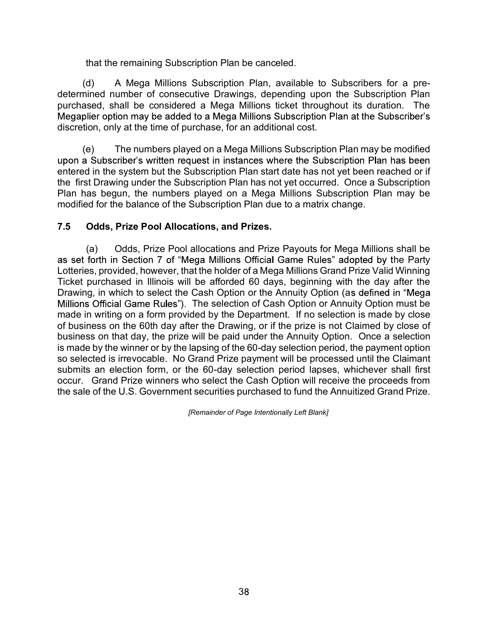that the remaining Subscription Plan be canceled.

that the remaining Subscription Plan be canceled.<br>
(d) A Mega Millions Subscription Plan, available to Subscribers for a pre-<br>
inined number of consecutive Drawings, depending upon the Subscription Plan<br>
ased, shall be con determined number of consecutive Drawings, depending upon the Subscription Plan purchased, shall be considered a Mega Millions ticket throughout its duration. The discretion, only at the time of purchase, for an additional cost.

that the remaining Subscription Plan be canceled.<br>
(d) A Mega Millions Subscription Plan, available to Subscribers for a pre-<br>
intend number of consecutive Drawings, depending upon the Subscription Plan<br>
assed, shall be co entered in the system but the Subscription Plan start date has not yet been reached or if the first Drawing under the Subscription Plan has not yet occurred. Once a Subscription Plan has begun, the numbers played on a Mega Millions Subscription Plan may be modified for the balance of the Subscription Plan due to a matrix change. that the remaining Subscription Plan be canceled.<br>
(d) A Mega Millions Subscription Plan, available to Subscribers for a pre-<br>
ined number of consecutive Drawings, depending upon the Subscription Plan<br>
ised, shall be consi

#### 7.5 Odds, Prize Pool Allocations, and Prizes.

as set forth in Section 7 of "Mega Millions Official Game Rules" adopted by the Party Lotteries, provided, however, that the holder of a Mega Millions Grand Prize Valid Winning Ticket purchased in Illinois will be afforded 60 days, beginning with the day after the Drawing, in which to select the Cash Option or the Annuity Option (as defined in "Mega Millions Official Game Rules"). The selection of Cash Option or Annuity Option must be puediated in my the detection and Meganital Came that we are the subscription. The subscription Plan at the Subscription conty at the time of purchase, for an additional cost.<br>
(e) The numbers played on a Mega Millions Sub of business on the 60th day after the Drawing, or if the prize is not Claimed by close of business on the prince of paid in a selection is made the system and the paid in the primaris player and Mega Millions Subscription Plan may be modified upon a Subscription Plan instances where the Subscription Plan has be is made by the winner or by the lapsing of the 60-day selection period, the payment option verture in the system but the Subscription Plan satisfactor and weak purchased to functionary compare and the system but the Subscription Plan has been entered in the system but the Subscription Plan has tot of the first D submits an election form, or the 60-day selection period lapses, whichever shall first eneve in the system but are consoription I rains and the state than the first Drawing under the Subscription Plan has not yet occurred. Once a Subscription Plan has begun, the numbers played on a Mega Millions Subscription the sale of the U.S. Government securities purchased to fund the Annuitized Grand Prize.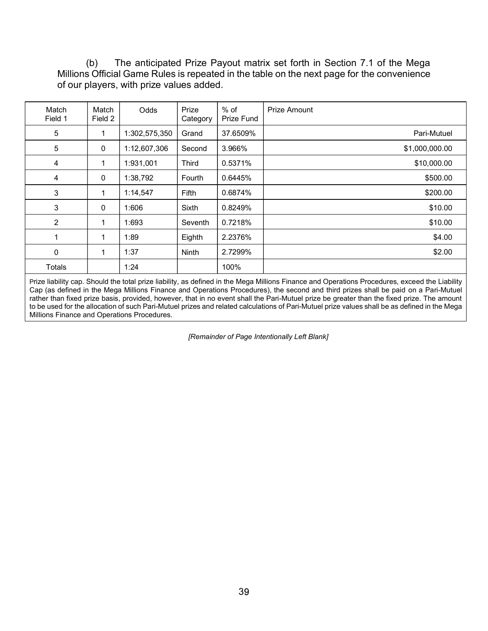(b) The anticipated Prize Payout matrix set forth in Section 7.1 of the Mega<br>s Official Game Rules is repeated in the table on the next page for the convenience<br>players, with prize values added. Millions Official Game Rules is repeated in the table on the next page for the convenience of our players, with prize values added.

| The anticipated Prize Payout matrix set forth in Section 7.1 of the Mega<br>(b)                                                                                                                                                                                                                                                                                                                                                                                                                                                                                                      |                |
|--------------------------------------------------------------------------------------------------------------------------------------------------------------------------------------------------------------------------------------------------------------------------------------------------------------------------------------------------------------------------------------------------------------------------------------------------------------------------------------------------------------------------------------------------------------------------------------|----------------|
| Millions Official Game Rules is repeated in the table on the next page for the convenience                                                                                                                                                                                                                                                                                                                                                                                                                                                                                           |                |
| of our players, with prize values added.                                                                                                                                                                                                                                                                                                                                                                                                                                                                                                                                             |                |
|                                                                                                                                                                                                                                                                                                                                                                                                                                                                                                                                                                                      |                |
| $%$ of<br>Prize<br><b>Prize Amount</b><br>Match<br>Odds<br>Match<br>Prize Fund<br>Field 1<br>Field 2<br>Category                                                                                                                                                                                                                                                                                                                                                                                                                                                                     |                |
| 1:302,575,350<br>37.6509%<br>5<br>Grand<br>1                                                                                                                                                                                                                                                                                                                                                                                                                                                                                                                                         | Pari-Mutuel    |
| 5<br>3.966%<br>0<br>1:12,607,306<br>Second                                                                                                                                                                                                                                                                                                                                                                                                                                                                                                                                           | \$1,000,000.00 |
| 1:931,001<br>0.5371%<br>4<br>$\mathbf{1}$<br><b>Third</b>                                                                                                                                                                                                                                                                                                                                                                                                                                                                                                                            | \$10,000.00    |
| 4<br>$\Omega$<br>1:38,792<br>Fourth<br>0.6445%                                                                                                                                                                                                                                                                                                                                                                                                                                                                                                                                       | \$500.00       |
| 3<br>1:14,547<br>0.6874%<br>Fifth<br>1                                                                                                                                                                                                                                                                                                                                                                                                                                                                                                                                               | \$200.00       |
| $\mathbf{3}$<br>$\mathbf 0$<br>1:606<br>Sixth<br>0.8249%                                                                                                                                                                                                                                                                                                                                                                                                                                                                                                                             | \$10.00        |
| $\overline{2}$<br>Seventh<br>0.7218%<br>1:693<br>1                                                                                                                                                                                                                                                                                                                                                                                                                                                                                                                                   | \$10.00        |
| $\mathbf{1}$<br>1:89<br>2.2376%<br>$\mathbf{1}$<br>Eighth                                                                                                                                                                                                                                                                                                                                                                                                                                                                                                                            | \$4.00         |
| $\mathbf 0$<br>$\mathbf{1}$<br>1:37<br>2.7299%<br>Ninth                                                                                                                                                                                                                                                                                                                                                                                                                                                                                                                              | \$2.00         |
| 1:24<br>100%<br>Totals                                                                                                                                                                                                                                                                                                                                                                                                                                                                                                                                                               |                |
| Prize liability cap. Should the total prize liability, as defined in the Mega Millions Finance and Operations Procedures, exceed the Liability<br>Cap (as defined in the Mega Millions Finance and Operations Procedures), the second and third prizes shall be paid on a Pari-Mutuel<br>rather than fixed prize basis, provided, however, that in no event shall the Pari-Mutuel prize be greater than the fixed prize. The amount<br>to be used for the allocation of such Pari-Mutuel prizes and related calculations of Pari-Mutuel prize values shall be as defined in the Mega |                |
|                                                                                                                                                                                                                                                                                                                                                                                                                                                                                                                                                                                      |                |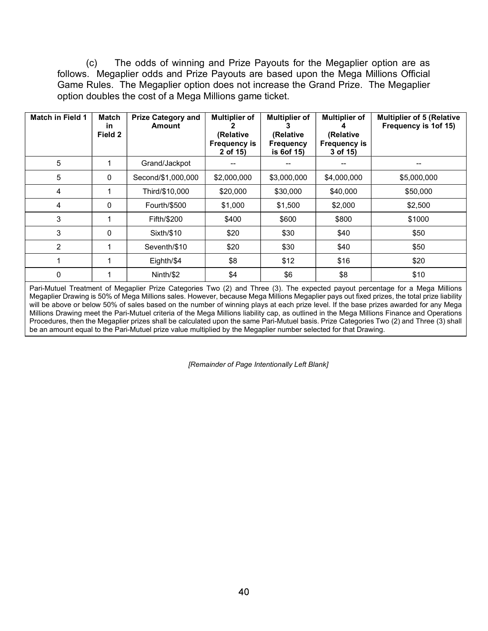(c) The odds of winning and Prize Payouts for the Megaplier option are as<br>
.. Megaplier odds and Prize Payouts are based upon the Mega Millions Official<br>
Rules. The Megaplier option does not increase the Grand Prize. The (c) The odds of winning and Prize Payouts for the Megaplier option are as<br>follows. Megaplier odds and Prize Payouts are based upon the Mega Millions Official<br>Game Rules. The Megaplier option does not increase the Grand Pr Game Rules. The Megaplier option does not increase the Grand Prize. The Megaplier option doubles the cost of a Mega Millions game ticket.

|                         | (c)                            | The odds of winning and Prize Payouts for the Megaplier option are as                                                                                                                                                               |                                                                      |                                                                          |                                                                         |                                                          |
|-------------------------|--------------------------------|-------------------------------------------------------------------------------------------------------------------------------------------------------------------------------------------------------------------------------------|----------------------------------------------------------------------|--------------------------------------------------------------------------|-------------------------------------------------------------------------|----------------------------------------------------------|
|                         |                                | follows. Megaplier odds and Prize Payouts are based upon the Mega Millions Official<br>Game Rules. The Megaplier option does not increase the Grand Prize. The Megaplier<br>option doubles the cost of a Mega Millions game ticket. |                                                                      |                                                                          |                                                                         |                                                          |
| <b>Match in Field 1</b> | <b>Match</b><br>in.<br>Field 2 | <b>Prize Category and</b><br><b>Amount</b>                                                                                                                                                                                          | <b>Multiplier of</b><br>(Relative<br><b>Frequency is</b><br>2 of 15) | <b>Multiplier of</b><br>3<br>(Relative<br><b>Frequency</b><br>is 6of 15) | <b>Multiplier of</b><br>(Relative<br><b>Frequency is</b><br>3 of $15$ ) | <b>Multiplier of 5 (Relative</b><br>Frequency is 1of 15) |
|                         | $\overline{1}$                 | Grand/Jackpot                                                                                                                                                                                                                       | $\overline{\phantom{a}}$                                             | $\overline{\phantom{a}}$                                                 | --                                                                      | $\overline{\phantom{a}}$                                 |
| 5                       |                                |                                                                                                                                                                                                                                     |                                                                      | \$3,000,000                                                              | \$4,000,000                                                             | \$5,000,000                                              |
| 5                       | $\mathbf{0}$                   | Second/\$1,000,000                                                                                                                                                                                                                  | \$2,000,000                                                          |                                                                          |                                                                         |                                                          |
| 4                       | -1                             | Third/\$10,000                                                                                                                                                                                                                      | \$20,000                                                             | \$30,000                                                                 | \$40,000                                                                | \$50,000                                                 |
| $\overline{4}$          | $\mathbf{0}$                   | Fourth/\$500                                                                                                                                                                                                                        | \$1,000                                                              | \$1,500                                                                  | \$2,000                                                                 | \$2,500                                                  |
| 3                       | $\overline{1}$                 | Fifth/\$200                                                                                                                                                                                                                         | \$400                                                                | \$600                                                                    | \$800                                                                   | \$1000                                                   |
| 3                       | $\mathbf{0}$                   | Sixth/\$10                                                                                                                                                                                                                          | \$20                                                                 | \$30                                                                     | \$40                                                                    | \$50                                                     |
| $\overline{2}$          | $\overline{1}$                 | Seventh/\$10                                                                                                                                                                                                                        | \$20                                                                 | \$30                                                                     | \$40                                                                    | \$50                                                     |
| $\mathbf{1}$            | $\mathbf 1$                    | Eighth/\$4                                                                                                                                                                                                                          | \$8                                                                  | \$12                                                                     | \$16                                                                    | \$20                                                     |

Pari-Mutuel Treatment of Megaplier Prize Categories Two (2) and Three (3). The expected payout percentage for a Mega Millions Megaplier Drawing is 50% of Mega Millions sales. However, because Mega Millions Megaplier pays out fixed prizes, the total prize liability will be above or below 50% of sales based on the number of winning plays at each prize level. If the base prizes awarded for any Mega Millions Drawing meet the Pari-Mutuel criteria of the Mega Millions liability cap, as outlined in the Mega Millions Finance and Operations Procedures, then the Megaplier prizes shall be calculated upon the same Pari-Mutuel basis. Prize Categories Two (2) and Three (3) shall be an amount equal to the Pari-Mutuel prize value multiplied by the Megaplier number selected for that Drawing.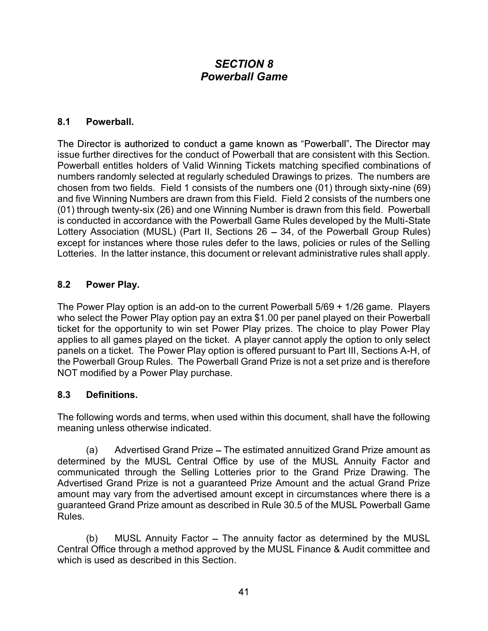# SECTION 8 Powerball Game

#### 8.1 Powerball.

issue further directives for the conduct of Powerball that are consistent with this Section. Powerball entitles holders of Valid Winning Tickets matching specified combinations of numbers randomly selected at regularly scheduled Drawings to prizes. The numbers are chosen from two fields. Field 1 consists of the numbers one (01) through sixty-nine (69) **SECTION 8**<br>**Powerball.**<br>**And Five Winning Numbers are drawn from the Section of the Director is authorized to conduct a game known as "Powerball". The Director may<br>powerball entitles holders of Valid Winning Tickets match SECTION 8**<br> **Powerball.**<br> **Reference is authorized to conduct a game known as "Powerball". The Director may**<br> **The Director is authorized to conduct a game known as "Powerball". The Director may<br>
insue further directives** is conducted in accordance with the Powerball Game Rules developed by the Multi-State Lottery Association (MUSL) (Part II, Sections  $26 - 34$ , of the Powerball Group Rules) except for instances where those rules defer to the laws, policies or rules of the Selling Lotteries. In the latter instance, this document or relevant administrative rules shall apply. The Director is authorized to conduct a game known as "Powerball". The Director may<br>issue further directives for the conduct of Powerball that are consistent with this Section<br>Powerball entitles holders of Vairio Winning

#### 8.2 Power Play.

The Power Play option is an add-on to the current Powerball 5/69 + 1/26 game. Players who select the Power Play option pay an extra \$1.00 per panel played on their Powerball ticket for the opportunity to win set Power Play prizes. The choice to play Power Play panels on a ticket. The Power Play option is offered pursuant to Part III, Sections A-H, of the Powerball Group Rules. The Powerball Grand Prize is not a set prize and is therefore NOT modified by a Power Play purchase. For instances where those trues deter to the taws, policies of rules of the Selling<br>
Brower Play.<br> **Power Play**.<br> **Power Play option is an add-on to the current Powerball 5/69 + 1/26 game. Players<br>
lect the Power Play opti** 

#### 8.3 Definitions.

The following words and terms, when used within this document, shall have the following meaning unless otherwise indicated.

determined by the MUSL Central Office by use of the MUSL Annuity Factor and communicated through the Selling Lotteries prior to the Grand Prize Drawing. The Advertised Grand Prize is not a guaranteed Prize Amount and the actual Grand Prize **CALC TREE FROM CONDUMERT ADVECTS THEOTED THEOTEM CONDUCT THEOTED THEOTED THEOTED THEOTED WARD SURFACT THEOTED THEOTED THEOTED THEOTED THEOTED THEOTED CONDIT CONDIT SOMETHEON DRIVER DRIVER DRIVER THE POWER DRIVER DRIVER D** guaranteed Grand Prize amount as described in Rule 30.5 of the MUSL Powerball Game Rules. of the Opportunity of will set the phat of the MUSL The annual dipple option to only select<br>the and a ticket. The Power Play per cannot apply the option to only select<br>on a ticket. The Power Play prion is offered pursuant

Central Office through a method approved by the MUSL Finance & Audit committee and which is used as described in this Section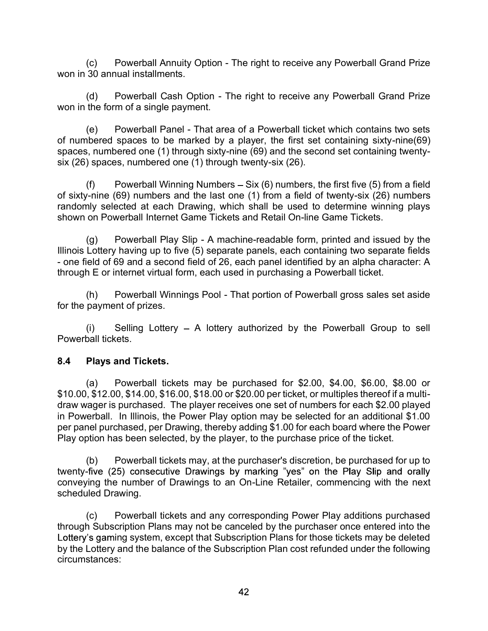won in 30 annual installments.

(c) Powerball Annuity Option - The right to receive any Powerball Grand Prize<br>30 annual installments.<br>(d) Powerball Cash Option - The right to receive any Powerball Grand Prize<br>the form of a single payment. won in the form of a single payment.

(c) Powerball Annuity Option - The right to receive any Powerball Grand Prize<br>30 annual installments.<br>(d) Powerball Cash Option - The right to receive any Powerball Grand Prize<br>the form of a single payment.<br>(e) Powerball P (c) Powerball Annuity Option - The right to receive any Powerball Grand Prize<br>
30 annual installments.<br>
(d) Powerball Cash Option - The right to receive any Powerball Grand Prize<br>
the form of a single payment.<br>
(e) Powerb of numbered spaces to be marked by a player, the first set containing sixty-nine(69) spaces, numbered one (1) through sixty-nine (69) and the second set containing twentysix (26) spaces, numbered one (1) through twenty-six (26). (c) Powerball Annuity Option - The right to receive any Powerball Grand Prize<br>
30 annual installments.<br>
(d) Powerball Cash Option - The right to receive any Powerball Grand Prize<br>
the form of a single payment.<br>
(e) Powerb (c) Powerball Annuity Option - The right to receive any Powerball Grand Prize<br>won in 30 annual installments.<br>(d) Powerball Cash Option - The right to receive any Powerball Grand Prize<br>won in the form of a single payment.<br>(

of sixty-nine (69) numbers and the last one (1) from a field of twenty-six (26) numbers randomly selected at each Drawing, which shall be used to determine winning plays<br>shown on Powerball Internet Game Tickets and Retail On-line Game Tickets.

(c) Powerball Annuity Option - The right to receive any Powerball Grand Prize<br>
30 annual installments.<br>
(d) Powerball Cash Option - The right to receive any Powerball Grand Prize<br>
the form of a single payment.<br>
(e) Powerb Illinois Lottery having up to five (5) separate panels, each containing two separate fields (c) Powerball Annuity Option - The right to receive any Powerball Grand Prize<br>
won in 30 annual installments.<br>
(d) Powerball Cash Option - The right to receive any Powerball Grand Prize<br>
won in the form of a single paymen through E or internet virtual form, each used in purchasing a Powerball ticket. (d) Powerball Cash Option - The right to receive any Powerball Grand Prize<br>the form of a single payment.<br>(e) Powerball Panel - That area of a Powerball ticket which contains two sets<br>by a poset to be marked by a player, th (e) Powerball Panel - That area of a Powerball ticket which contains two sets<br>betered spaces to be marked by a player, the first set containing sixty-nine(69)<br>s, numbered one (1) through sixty-nine (69) and the second set

for the payment of prizes.

Powerball tickets.

#### 8.4 Plays and Tickets.

(f) Powerball Winning Numbers – Six (6) numbers, the first five (5) from a field<br>  $r$ -inie (69) numbers and the last one (1) from a field of twenty-six (26) numbers<br>  $r$ ily selected at each Drawing, which shall be used to \$10.00, \$12.00, \$14.00, \$16.00, \$18.00 or \$20.00 per ticket, or multiples thereof if a multidraw wager is purchased. The player receives one set of numbers for each \$2.00 played in Powerball. In Illinois, the Power Play option may be selected for an additional \$1.00 per panel purchased, per Drawing, thereby adding \$1.00 for each board where the Power Play option has been selected, by the player, to the purchase price of the ticket. between the purchased. The purchase of the purchaser's discretion, be purchased for the purchase in the purchase of the purchase of the purchase of the purchase of the purchaser of prices.<br>(i) Selling Lottery – A lottery a (i) Selling Lottery – A lottery authorized by the Powerball Group to sell<br>call tickets.<br>**Plays and Tickets.**<br>**Plays and Tickets.**<br>(a) Powerball tickets may be purchased for \$2.00, \$4.00, \$6.00, \$8.00 or<br>striket, or multip

twenty-five (25) consecutive Drawings by marking "yes" on the Play Slip and orally conveying the number of Drawings to an On-Line Retailer, commencing with the next scheduled Drawing.

through Subscription Plans may not be canceled by the purchaser once entered into the Lottery's gaming system, except that Subscription Plans for those tickets may be deleted by the Lottery and the balance of the Subscription Plan cost refunded under the following circumstances: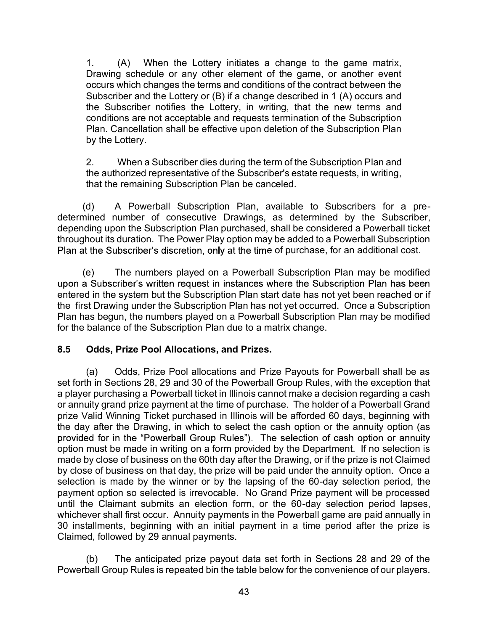1. (A) When the Lottery initiates a change to the game matrix,<br>Drawing schedule or any other element of the game, or another event<br>occurs which changes the terms and conditions of the contract between the<br>Subscriber and th Drawing schedule or any other element of the game, or another event occurs which changes the terms and conditions of the contract between the Subscriber and the Lottery or (B) if a change described in 1 (A) occurs and 1. (A) When the Lottery initiates a change to the game matrix,<br>Drawing schedule or any other element of the game, or another event<br>occurs which changes the terms and conditions of the contract between the<br>Subscriber and t conditions are not acceptable and requests termination of the Subscription Plan. Cancellation shall be effective upon deletion of the Subscription Plan by the Lottery. 2. (A) When the Lottery initiates a change to the game matrix,<br>Drawing schedule or any other element of the game, or another event<br>occurs which changes the terms and conditions of the contract between the<br>Subscriber and th (A) When the Lottery initiates a change to the game matrix,<br>
Drawing schedule or any other element of the game, or another event<br>
occurs which changes the terms and conditions of the contract between the<br>
Subscriber and t (e) The numbers of the context in the contect of the same because which changes the terms and conditions of the contract between the Subscriber and the Lottery or (B) if a change described in 1 (A) occurs and the Subscribe

the authorized representative of the Subscriber's estate requests, in writing, that the remaining Subscription Plan be canceled.

determined number of consecutive Drawings, as determined by the Subscriber, depending upon the Subscription Plan purchased, shall be considered a Powerball ticket throughout its duration. The Power Play option may be added to a Powerball Subscription Plan at the Subscriber's discretion, only at the time of purchase, for an additional cost.

entered in the system but the Subscription Plan start date has not yet been reached or if the first Drawing under the Subscription Plan has not yet occurred. Once a Subscription Plan has begun, the numbers played on a Powerball Subscription Plan may be modified for the balance of the Subscription Plan due to a matrix change. (a) A Powerball Subscription Plan and the console of the Subscriber's estate requests, in writing, that the remaining Subscription Plan be canceled.<br>
(a) A Powerball Subscription Plan be canceled.<br>
(a) A Powerball Subscrip

#### 8.5 Odds, Prize Pool Allocations, and Prizes.

set forth in Sections 28, 29 and 30 of the Powerball Group Rules, with the exception that (d) A Powerball Shustription Plan a wailable to Subscribers for a pre-<br>determined number of consecutive Drawings, as determined by the Subscriber,<br>depending upon the Subscription Plan purchased, shall be considered a Power or annuity grand prize payment at the time of purchase. The holder of a Powerball Grand prize Valid Winning Ticket purchased in Illinois will be afforded 60 days, beginning with edepending upon the Subscription Plan purchased, shall be considered a Powerball ticket<br>throughout its duration. The Power Play option may be added to a Powerball Subscription<br>Plan at the Subscription Plan purchased, shall option must be made in writing on a form provided by the Department. If no selection is made by close of business on the 60th day after the Drawing, or if the prize is not Claimed by close of business on that day, the prize will be paid under the annuity option. Once a selection is made by the winner or by the lapsing of the 60-day selection period, the payment option so selected is irrevocable. No Grand Prize payment will be processed until the Claimant submits an election form, or the 60-day selection period lapses, whichever shall first occur. Annuity payments in the Powerball game are paid annually in 30 installments, beginning with an initial payment in a time period after the prize is Claimed, followed by 29 annual payments. Caus, Trize From Antocaustria, and Frizes.<br>
(a) Odds, Prize Payouts for Powerball shall be as<br>
in Sections 28, 29 and 30 of the Powerball Group Rules, with the exception that<br>
rigurad prize payment at the time of purchase.

Powerball Group Rules is repeated bin the table below for the convenience of our players.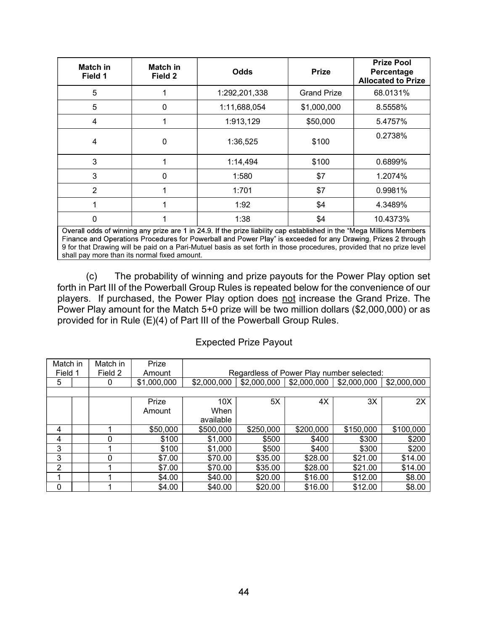|                          | <b>Match in</b><br>Field 1 | <b>Match in</b><br>Field 2                                                                                                                                                                                                                                                                                                                                                                                                             |                                      | <b>Odds</b>                  | <b>Prize</b>                                                                                        |    | <b>Prize Pool</b><br>Percentage<br><b>Allocated to Prize</b> |
|--------------------------|----------------------------|----------------------------------------------------------------------------------------------------------------------------------------------------------------------------------------------------------------------------------------------------------------------------------------------------------------------------------------------------------------------------------------------------------------------------------------|--------------------------------------|------------------------------|-----------------------------------------------------------------------------------------------------|----|--------------------------------------------------------------|
|                          | 5                          | 1                                                                                                                                                                                                                                                                                                                                                                                                                                      |                                      | 1:292,201,338                | <b>Grand Prize</b>                                                                                  |    | 68.0131%                                                     |
|                          | 5                          | $\mathbf 0$                                                                                                                                                                                                                                                                                                                                                                                                                            |                                      | 1:11,688,054                 | \$1,000,000                                                                                         |    | 8.5558%                                                      |
|                          | $\overline{4}$             | $\mathbf{1}$                                                                                                                                                                                                                                                                                                                                                                                                                           |                                      | 1:913,129                    | \$50,000                                                                                            |    | 5.4757%                                                      |
|                          | 4                          | 0                                                                                                                                                                                                                                                                                                                                                                                                                                      |                                      | 1:36,525                     | \$100                                                                                               |    | 0.2738%                                                      |
|                          | 3                          | $\mathbf{1}$                                                                                                                                                                                                                                                                                                                                                                                                                           |                                      | 1:14,494                     | \$100                                                                                               |    | 0.6899%                                                      |
|                          | 3                          | 0                                                                                                                                                                                                                                                                                                                                                                                                                                      |                                      | 1:580                        | \$7                                                                                                 |    | 1.2074%                                                      |
|                          | $\overline{2}$             | $\mathbf{1}$                                                                                                                                                                                                                                                                                                                                                                                                                           |                                      | 1:701                        | \$7                                                                                                 |    | 0.9981%                                                      |
|                          | 1                          | 1                                                                                                                                                                                                                                                                                                                                                                                                                                      |                                      | 1:92                         | \$4                                                                                                 |    | 4.3489%                                                      |
|                          | $\mathbf{0}$               | 1                                                                                                                                                                                                                                                                                                                                                                                                                                      |                                      | 1:38                         | \$4                                                                                                 |    | 10.4373%                                                     |
|                          |                            | Overall odds of winning any prize are 1 in 24.9. If the prize liability cap established in the "Mega Millions Members<br>Finance and Operations Procedures for Powerball and Power Play" is exceeded for any Drawing, Prizes 2 through<br>9 for that Drawing will be paid on a Pari-Mutuel basis as set forth in those procedures, provided that no prize level<br>shall pay more than its normal fixed amount.                        |                                      |                              |                                                                                                     |    |                                                              |
|                          | (c)                        | The probability of winning and prize payouts for the Power Play option set<br>forth in Part III of the Powerball Group Rules is repeated below for the convenience of our<br>players. If purchased, the Power Play option does not increase the Grand Prize. The<br>Power Play amount for the Match 5+0 prize will be two million dollars (\$2,000,000) or as<br>provided for in Rule (E)(4) of Part III of the Powerball Group Rules. |                                      |                              |                                                                                                     |    |                                                              |
|                          |                            |                                                                                                                                                                                                                                                                                                                                                                                                                                        |                                      | <b>Expected Prize Payout</b> |                                                                                                     |    |                                                              |
| latch in<br>Field 1<br>5 | Match in<br>Field 2<br>0   | Prize<br>Amount<br>\$1,000,000                                                                                                                                                                                                                                                                                                                                                                                                         | \$2,000,000                          |                              | Regardless of Power Play number selected:<br>$$2,000,000$   \$2,000,000   \$2,000,000   \$2,000,000 |    |                                                              |
|                          |                            | Prize<br>Amount                                                                                                                                                                                                                                                                                                                                                                                                                        | 10 <sub>X</sub><br>When<br>available | 5X                           | 4X                                                                                                  | 3X | 2X                                                           |

#### Expected Prize Payout

|                | 3              | 0                                            |                                                                                                                                                                                                                                                                                                                                                                                                                                        | 1:580                        | \$7                                                    |           | 1.2074%   |
|----------------|----------------|----------------------------------------------|----------------------------------------------------------------------------------------------------------------------------------------------------------------------------------------------------------------------------------------------------------------------------------------------------------------------------------------------------------------------------------------------------------------------------------------|------------------------------|--------------------------------------------------------|-----------|-----------|
|                | $\overline{2}$ |                                              |                                                                                                                                                                                                                                                                                                                                                                                                                                        | 1:701                        | \$7                                                    |           | 0.9981%   |
|                | 1              | 1                                            |                                                                                                                                                                                                                                                                                                                                                                                                                                        | 1:92                         | \$4                                                    |           | 4.3489%   |
|                | $\mathbf 0$    |                                              |                                                                                                                                                                                                                                                                                                                                                                                                                                        | 1:38                         | \$4                                                    |           | 10.4373%  |
|                |                | shall pay more than its normal fixed amount. | Overall odds of winning any prize are 1 in 24.9. If the prize liability cap established in the "Mega Millions Members<br>Finance and Operations Procedures for Powerball and Power Play" is exceeded for any Drawing, Prizes 2 through<br>9 for that Drawing will be paid on a Pari-Mutuel basis as set forth in those procedures, provided that no prize level                                                                        |                              |                                                        |           |           |
|                | (c)            |                                              | The probability of winning and prize payouts for the Power Play option set<br>forth in Part III of the Powerball Group Rules is repeated below for the convenience of our<br>players. If purchased, the Power Play option does not increase the Grand Prize. The<br>Power Play amount for the Match 5+0 prize will be two million dollars (\$2,000,000) or as<br>provided for in Rule (E)(4) of Part III of the Powerball Group Rules. |                              |                                                        |           |           |
|                |                |                                              |                                                                                                                                                                                                                                                                                                                                                                                                                                        |                              |                                                        |           |           |
|                |                |                                              |                                                                                                                                                                                                                                                                                                                                                                                                                                        | <b>Expected Prize Payout</b> |                                                        |           |           |
| Match in       | Match in       | Prize                                        |                                                                                                                                                                                                                                                                                                                                                                                                                                        |                              |                                                        |           |           |
| Field 1        | Field 2        | Amount                                       |                                                                                                                                                                                                                                                                                                                                                                                                                                        |                              | Regardless of Power Play number selected:              |           |           |
| 5              | $\mathbf 0$    | \$1,000,000                                  | \$2,000,000                                                                                                                                                                                                                                                                                                                                                                                                                            |                              | $$2,000,000$   \$2,000,000   \$2,000,000   \$2,000,000 |           |           |
|                |                |                                              |                                                                                                                                                                                                                                                                                                                                                                                                                                        |                              |                                                        |           |           |
|                |                | Prize                                        | 10X                                                                                                                                                                                                                                                                                                                                                                                                                                    | 5X                           | 4X                                                     | 3X        | 2X        |
|                |                | Amount                                       | When<br>available                                                                                                                                                                                                                                                                                                                                                                                                                      |                              |                                                        |           |           |
| 4              | $\mathbf 1$    | \$50,000                                     | \$500,000                                                                                                                                                                                                                                                                                                                                                                                                                              | \$250,000                    | \$200,000                                              | \$150,000 | \$100,000 |
| 4              | $\mathbf 0$    | \$100                                        | \$1,000                                                                                                                                                                                                                                                                                                                                                                                                                                | \$500                        | \$400                                                  | \$300     | \$200     |
| 3              | 1              | \$100                                        | \$1,000                                                                                                                                                                                                                                                                                                                                                                                                                                | \$500                        | \$400                                                  | \$300     | \$200     |
| 3              | 0              | \$7.00                                       | \$70.00                                                                                                                                                                                                                                                                                                                                                                                                                                | \$35.00                      | \$28.00                                                | \$21.00   | \$14.00   |
| $\overline{2}$ |                | \$7.00                                       | \$70.00                                                                                                                                                                                                                                                                                                                                                                                                                                | \$35.00                      | \$28.00                                                | \$21.00   | \$14.00   |
|                |                | \$4.00                                       | \$40.00                                                                                                                                                                                                                                                                                                                                                                                                                                | \$20.00                      | \$16.00                                                | \$12.00   | \$8.00    |